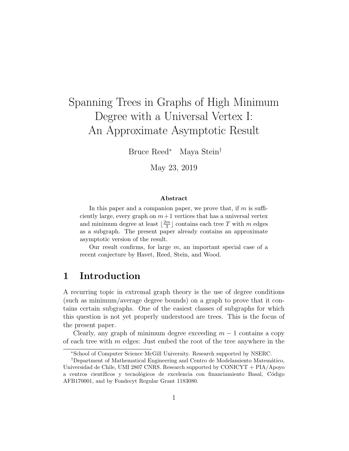# Spanning Trees in Graphs of High Minimum Degree with a Universal Vertex I: An Approximate Asymptotic Result

Bruce Reed<sup>∗</sup> Maya Stein†

May 23, 2019

#### Abstract

In this paper and a companion paper, we prove that, if  $m$  is sufficiently large, every graph on  $m+1$  vertices that has a universal vertex and minimum degree at least  $\frac{2m}{3}$  $\frac{m}{3}$  contains each tree T with m edges as a subgraph. The present paper already contains an approximate asymptotic version of the result.

Our result confirms, for large  $m$ , an important special case of a recent conjecture by Havet, Reed, Stein, and Wood.

# 1 Introduction

A recurring topic in extremal graph theory is the use of degree conditions (such as minimum/average degree bounds) on a graph to prove that it contains certain subgraphs. One of the easiest classes of subgraphs for which this question is not yet properly understood are trees. This is the focus of the present paper.

Clearly, any graph of minimum degree exceeding  $m-1$  contains a copy of each tree with  $m$  edges: Just embed the root of the tree anywhere in the

<sup>∗</sup>School of Computer Science McGill University. Research supported by NSERC.

<sup>&</sup>lt;sup>†</sup>Department of Mathematical Engineering and Centro de Modelamiento Matemático, Universidad de Chile, UMI 2807 CNRS. Research supported by CONICYT + PIA/Apoyo a centros científicos y tecnológicos de excelencia con financiamiento Basal, Código AFB170001, and by Fondecyt Regular Grant 1183080.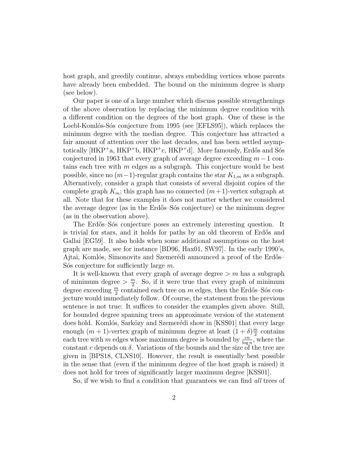host graph, and greedily continue, always embedding vertices whose parents have already been embedded. The bound on the minimum degree is sharp (see below).

Our paper is one of a large number which discuss possible strengthenings of the above observation by replacing the minimum degree condition with a different condition on the degrees of the host graph. One of these is the Loebl-Komlós-Sós conjecture from 1995 (see [EFLS95]), which replaces the minimum degree with the median degree. This conjecture has attracted a fair amount of attention over the last decades, and has been settled asymptotically [HKP<sup>+</sup>a, HKP<sup>+</sup>b, HKP<sup>+</sup>c, HKP<sup>+</sup>d]. More famously, Erdős and Sós conjectured in 1963 that every graph of average degree exceeding  $m - 1$  contains each tree with  $m$  edges as a subgraph. This conjecture would be best possible, since no  $(m-1)$ -regular graph contains the star  $K_{1,m}$  as a subgraph. Alternatively, consider a graph that consists of several disjoint copies of the complete graph  $K_m$ ; this graph has no connected  $(m+1)$ -vertex subgraph at all. Note that for these examples it does not matter whether we considered the average degree (as in the Erdős–Sós conjecture) or the minimum degree (as in the observation above).

The Erdős–Sós conjecture poses an extremely interesting question. It is trivial for stars, and it holds for paths by an old theorem of Erdős and Gallai [EG59]. It also holds when some additional assumptions on the host graph are made, see for instance [BD96, Hax01, SW97]. In the early 1990's, Ajtai, Komlós, Simonovits and Szemerédi announced a proof of the Erdős– S<sup>os</sup> conjecture for sufficiently large  $m$ .

It is well-known that every graph of average degree  $> m$  has a subgraph of minimum degree  $>\frac{m}{2}$  $\frac{m}{2}$ . So, if it were true that every graph of minimum degree exceeding  $\frac{m}{2}$  contained each tree on  $m$  edges, then the Erdős–Sós conjecture would immediately follow. Of course, the statement from the previous sentence is not true: It suffices to consider the examples given above. Still, for bounded degree spanning trees an approximate version of the statement does hold. Komlós, Sarközy and Szemerédi show in [KSS01] that every large enough  $(m + 1)$ -vertex graph of minimum degree at least  $(1 + \delta)\frac{m}{2}$  $\frac{n}{2}$  contains each tree with m edges whose maximum degree is bounded by  $\frac{cn}{\log n}$ , where the constant c depends on  $\delta$ . Variations of the bounds and the size of the tree are given in [BPS18, CLNS10]. However, the result is essentially best possible in the sense that (even if the minimum degree of the host graph is raised) it does not hold for trees of significantly larger maximum degree [KSS01].

So, if we wish to find a condition that guarantees we can find all trees of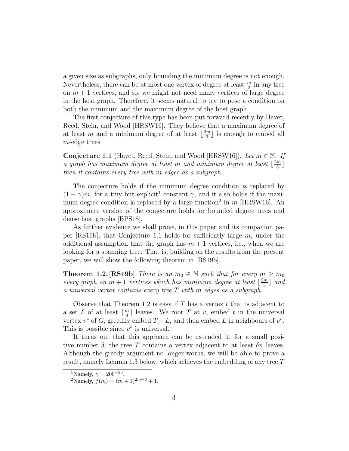a given size as subgraphs, only bounding the minimum degree is not enough. Nevertheless, there can be at most one vertex of degree at least  $\frac{m}{2}$  in any tree on  $m + 1$  vertices, and so, we might not need many vertices of large degree in the host graph. Therefore, it seems natural to try to pose a condition on both the minimum and the maximum degree of the host graph.

The first conjecture of this type has been put forward recently by Havet, Reed, Stein, and Wood [HRSW16]. They believe that a maximum degree of at least m and a minimum degree of at least  $\frac{2m}{3}$  $\frac{m}{3}$  is enough to embed all m-edge trees.

**Conjecture 1.1** (Havet, Reed, Stein, and Wood [HRSW16]). Let  $m \in \mathbb{N}$ . If a graph has maximum degree at least m and minimum degree at least  $\lfloor \frac{2m}{3} \rfloor$  $\frac{m}{3}$ then it contains every tree with m edges as a subgraph.

The conjecture holds if the minimum degree condition is replaced by  $(1 - \gamma)m$ , for a tiny but explicit<sup>1</sup> constant  $\gamma$ , and it also holds if the maximum degree condition is replaced by a large function<sup>2</sup> in  $m$  [HRSW16]. An approximate version of the conjecture holds for bounded degree trees and dense host graphs [BPS18].

As further evidence we shall prove, in this paper and its companion paper  $[RS19b]$ , that Conjecture 1.1 holds for sufficiently large m, under the additional assumption that the graph has  $m + 1$  vertices, i.e., when we are looking for a spanning tree. That is, building on the results from the present paper, we will show the following theorem in [RS19b].

**Theorem 1.2.** [RS19b] There is an  $m_0 \in \mathbb{N}$  such that for every  $m \geq m_0$ every graph on  $m + 1$  vertices which has minimum degree at least  $\lfloor \frac{2m}{3} \rfloor$  $\frac{m}{3}$  and a universal vertex contains every tree T with m edges as a subgraph.

Observe that Theorem 1.2 is easy if T has a vertex t that is adjacent to a set L of at least  $\lceil \frac{m}{3} \rceil$  $\frac{m}{3}$  leaves. We root T at v, embed t in the universal vertex  $v^*$  of G, greedily embed  $T - L$ , and then embed L in neighbours of  $v^*$ . This is possible since  $v^*$  is universal.

It turns out that this approach can be extended if, for a small positive number  $\delta$ , the tree T contains a vertex adjacent to at least  $\delta n$  leaves. Although the greedy argument no longer works, we will be able to prove a result, namely Lemma 1.3 below, which achieves the embedding of any tree T

<sup>&</sup>lt;sup>1</sup>Namely,  $\gamma = 200^{-30}$ .

<sup>&</sup>lt;sup>2</sup>Namely,  $f(m) = (m+1)^{2m+6} + 1$ .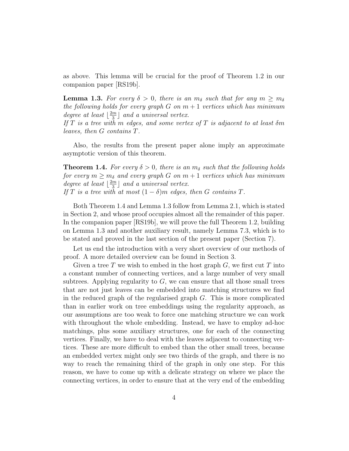as above. This lemma will be crucial for the proof of Theorem 1.2 in our companion paper [RS19b].

**Lemma 1.3.** For every  $\delta > 0$ , there is an  $m_{\delta}$  such that for any  $m \geq m_{\delta}$ the following holds for every graph G on  $m+1$  vertices which has minimum degree at least  $\frac{2m}{3}$  $\frac{m}{3}$  and a universal vertex.

If T is a tree with m edges, and some vertex of T is adjacent to at least  $\delta m$ leaves, then G contains T.

Also, the results from the present paper alone imply an approximate asymptotic version of this theorem.

**Theorem 1.4.** For every  $\delta > 0$ , there is an  $m_{\delta}$  such that the following holds for every  $m \geq m_{\delta}$  and every graph G on  $m + 1$  vertices which has minimum degree at least  $\frac{2m}{3}$  $\frac{m}{3}$  and a universal vertex. If T is a tree with at most  $(1 - \delta)m$  edges, then G contains T.

Both Theorem 1.4 and Lemma 1.3 follow from Lemma 2.1, which is stated in Section 2, and whose proof occupies almost all the remainder of this paper. In the companion paper [RS19b], we will prove the full Theorem 1.2, building on Lemma 1.3 and another auxiliary result, namely Lemma 7.3, which is to be stated and proved in the last section of the present paper (Section 7).

Let us end the introduction with a very short overview of our methods of proof. A more detailed overview can be found in Section 3.

Given a tree T we wish to embed in the host graph  $G$ , we first cut T into a constant number of connecting vertices, and a large number of very small subtrees. Applying regularity to  $G$ , we can ensure that all those small trees that are not just leaves can be embedded into matching structures we find in the reduced graph of the regularised graph  $G$ . This is more complicated than in earlier work on tree embeddings using the regularity approach, as our assumptions are too weak to force one matching structure we can work with throughout the whole embedding. Instead, we have to employ ad-hoc matchings, plus some auxiliary structures, one for each of the connecting vertices. Finally, we have to deal with the leaves adjacent to connecting vertices. These are more difficult to embed than the other small trees, because an embedded vertex might only see two thirds of the graph, and there is no way to reach the remaining third of the graph in only one step. For this reason, we have to come up with a delicate strategy on where we place the connecting vertices, in order to ensure that at the very end of the embedding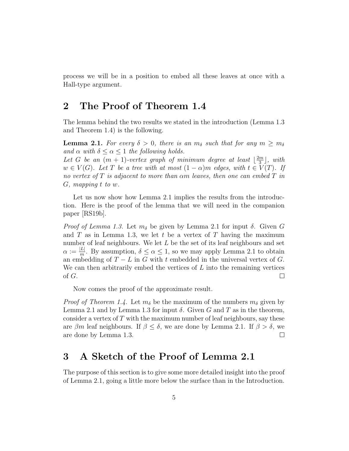process we will be in a position to embed all these leaves at once with a Hall-type argument.

# 2 The Proof of Theorem 1.4

The lemma behind the two results we stated in the introduction (Lemma 1.3 and Theorem 1.4) is the following.

**Lemma 2.1.** For every  $\delta > 0$ , there is an  $m_{\delta}$  such that for any  $m \geq m_{\delta}$ and  $\alpha$  with  $\delta \leq \alpha \leq 1$  the following holds.

Let G be an  $(m + 1)$ -vertex graph of minimum degree at least  $\frac{2m}{3}$  $\frac{m}{3}$ , with  $w \in V(G)$ . Let T be a tree with at most  $(1 - \alpha)m$  edges, with  $t \in V(T)$ . If no vertex of T is adjacent to more than  $\alpha$ m leaves, then one can embed T in G, mapping t to w.

Let us now show how Lemma 2.1 implies the results from the introduction. Here is the proof of the lemma that we will need in the companion paper [RS19b].

*Proof of Lemma 1.3.* Let  $m_{\delta}$  be given by Lemma 2.1 for input  $\delta$ . Given G and T as in Lemma 1.3, we let t be a vertex of T having the maximum number of leaf neighbours. We let  $L$  be the set of its leaf neighbours and set  $\alpha := \frac{|L|}{m}$  $\frac{L}{m}$ . By assumption,  $\delta \leq \alpha \leq 1$ , so we may apply Lemma 2.1 to obtain an embedding of  $T - L$  in G with t embedded in the universal vertex of G. We can then arbitrarily embed the vertices of  $L$  into the remaining vertices of G.  $\Box$ 

Now comes the proof of the approximate result.

*Proof of Theorem 1.4.* Let  $m_{\delta}$  be the maximum of the numbers  $m_{\delta}$  given by Lemma 2.1 and by Lemma 1.3 for input  $\delta$ . Given G and T as in the theorem, consider a vertex of  $T$  with the maximum number of leaf neighbours, say these are  $\beta m$  leaf neighbours. If  $\beta \leq \delta$ , we are done by Lemma 2.1. If  $\beta > \delta$ , we are done by Lemma 1.3.  $\Box$ 

# 3 A Sketch of the Proof of Lemma 2.1

The purpose of this section is to give some more detailed insight into the proof of Lemma 2.1, going a little more below the surface than in the Introduction.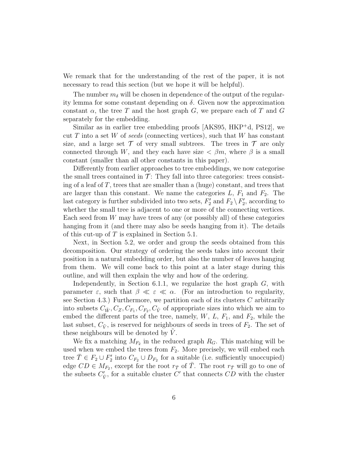We remark that for the understanding of the rest of the paper, it is not necessary to read this section (but we hope it will be helpful).

The number  $m_{\delta}$  will be chosen in dependence of the output of the regularity lemma for some constant depending on  $\delta$ . Given now the approximation constant  $\alpha$ , the tree T and the host graph G, we prepare each of T and G separately for the embedding.

Similar as in earlier tree embedding proofs [AKS95, HKP<sup>+</sup>d, PS12], we cut T into a set W of seeds (connecting vertices), such that W has constant size, and a large set  $\mathcal T$  of very small subtrees. The trees in  $\mathcal T$  are only connected through W, and they each have size  $\lt \beta m$ , where  $\beta$  is a small constant (smaller than all other constants in this paper).

Differently from earlier approaches to tree embeddings, we now categorise the small trees contained in  $\mathcal{T}$ : They fall into three categories: trees consisting of a leaf of  $T$ , trees that are smaller than a (huge) constant, and trees that are larger than this constant. We name the categories  $L, F_1$  and  $F_2$ . The last category is further subdivided into two sets,  $F_2'$  and  $F_2 \setminus F_2'$ , according to whether the small tree is adjacent to one or more of the connecting vertices. Each seed from  $W$  may have trees of any (or possibly all) of these categories hanging from it (and there may also be seeds hanging from it). The details of this cut-up of  $T$  is explained in Section 5.1.

Next, in Section 5.2, we order and group the seeds obtained from this decomposition. Our strategy of ordering the seeds takes into account their position in a natural embedding order, but also the number of leaves hanging from them. We will come back to this point at a later stage during this outline, and will then explain the why and how of the ordering.

Independently, in Section 6.1.1, we regularize the host graph  $G$ , with parameter  $\varepsilon$ , such that  $\beta \ll \varepsilon \ll \alpha$ . (For an introduction to regularity, see Section 4.3.) Furthermore, we partition each of its clusters  $C$  arbitrarily into subsets  $C_{\tilde{W}}, C_Z, C_{F_1}, C_{F_2}, C_{\tilde{V}}$  of appropriate sizes into which we aim to embed the different parts of the tree, namely,  $W, L, F_1$ , and  $F_2$ , while the last subset,  $C_{\tilde{V}}$ , is reserved for neighbours of seeds in trees of  $F_2$ . The set of these neighbours will be denoted by  $V$ .

We fix a matching  $M_{F_2}$  in the reduced graph  $R_G$ . This matching will be used when we embed the trees from  $F_2$ . More precisely, we will embed each tree  $\overline{T} \in F_2 \cup F'_2$  into  $C_{F_2} \cup D_{F_2}$  for a suitable (i.e. sufficiently unoccupied) edge  $CD \in M_{F_2}$ , except for the root  $r_{\overline{T}}$  of  $\overline{T}$ . The root  $r_{\overline{T}}$  will go to one of the subsets  $C'_{\tilde{V}}$ , for a suitable cluster  $C'$  that connects  $CD$  with the cluster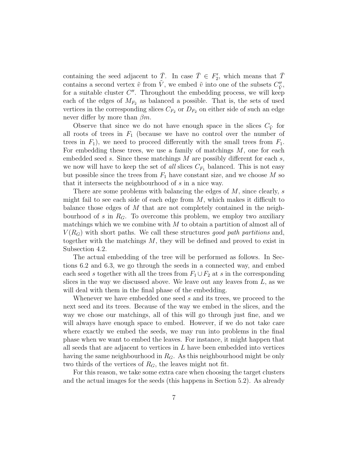containing the seed adjacent to  $\overline{T}$ . In case  $\overline{T} \in F'_{2}$ , which means that  $\overline{T}$ contains a second vertex  $\tilde{v}$  from  $\tilde{V}$ , we embed  $\tilde{v}$  into one of the subsets  $C''_{\tilde{V}}$ , for a suitable cluster  $C''$ . Throughout the embedding process, we will keep each of the edges of  $M_{F_2}$  as balanced a possible. That is, the sets of used vertices in the corresponding slices  $C_{F_2}$  or  $D_{F_2}$  on either side of such an edge never differ by more than  $\beta m$ .

Observe that since we do not have enough space in the slices  $C_{\tilde{V}}$  for all roots of trees in  $F_1$  (because we have no control over the number of trees in  $F_1$ ), we need to proceed differently with the small trees from  $F_1$ . For embedding these trees, we use a family of matchings  $M$ , one for each embedded seed s. Since these matchings  $M$  are possibly different for each s, we now will have to keep the set of all slices  $C_{F_1}$  balanced. This is not easy but possible since the trees from  $F_1$  have constant size, and we choose M so that it intersects the neighbourhood of s in a nice way.

There are some problems with balancing the edges of  $M$ , since clearly, s might fail to see each side of each edge from  $M$ , which makes it difficult to balance those edges of  $M$  that are not completely contained in the neighbourhood of s in  $R_G$ . To overcome this problem, we employ two auxiliary matchings which we we combine with  $M$  to obtain a partition of almost all of  $V(R_G)$  with short paths. We call these structures good path partitions and, together with the matchings  $M$ , they will be defined and proved to exist in Subsection 4.2.

The actual embedding of the tree will be performed as follows. In Sections 6.2 and 6.3, we go through the seeds in a connected way, and embed each seed s together with all the trees from  $F_1 \cup F_2$  at s in the corresponding slices in the way we discussed above. We leave out any leaves from  $L$ , as we will deal with them in the final phase of the embedding.

Whenever we have embedded one seed s and its trees, we proceed to the next seed and its trees. Because of the way we embed in the slices, and the way we chose our matchings, all of this will go through just fine, and we will always have enough space to embed. However, if we do not take care where exactly we embed the seeds, we may run into problems in the final phase when we want to embed the leaves. For instance, it might happen that all seeds that are adjacent to vertices in  $L$  have been embedded into vertices having the same neighbourhood in  $R_G$ . As this neighbourhood might be only two thirds of the vertices of  $R_G$ , the leaves might not fit.

For this reason, we take some extra care when choosing the target clusters and the actual images for the seeds (this happens in Section 5.2). As already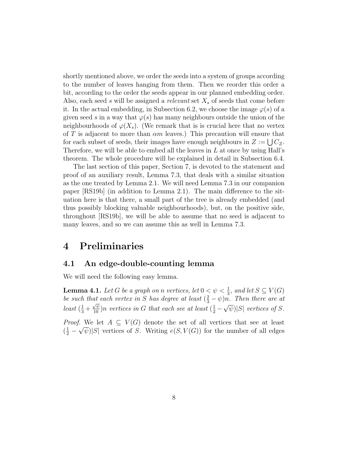shortly mentioned above, we order the seeds into a system of groups according to the number of leaves hanging from them. Then we reorder this order a bit, according to the order the seeds appear in our planned embedding order. Also, each seed s will be assigned a *relevant* set  $X_s$  of seeds that come before it. In the actual embedding, in Subsection 6.2, we choose the image  $\varphi(s)$  of a given seed s in a way that  $\varphi(s)$  has many neighbours outside the union of the neighbourhoods of  $\varphi(X_s)$ . (We remark that is is crucial here that no vertex of T is adjacent to more than  $\alpha m$  leaves.) This precaution will ensure that for each subset of seeds, their images have enough neighbours in  $Z := \bigcup C_Z$ . Therefore, we will be able to embed all the leaves in  $L$  at once by using Hall's theorem. The whole procedure will be explained in detail in Subsection 6.4.

The last section of this paper, Section 7, is devoted to the statement and proof of an auxiliary result, Lemma 7.3, that deals with a similar situation as the one treated by Lemma 2.1. We will need Lemma 7.3 in our companion paper [RS19b] (in addition to Lemma 2.1). The main difference to the situation here is that there, a small part of the tree is already embedded (and thus possibly blocking valuable neighbourhoods), but, on the positive side, throughout [RS19b], we will be able to assume that no seed is adjacent to many leaves, and so we can assume this as well in Lemma 7.3.

# 4 Preliminaries

### 4.1 An edge-double-counting lemma

We will need the following easy lemma.

**Lemma 4.1.** Let G be a graph on n vertices, let  $0 \le \psi < \frac{1}{3}$ , and let  $S \subseteq V(G)$ be such that each vertex in S has degree at least  $(\frac{2}{3} - \psi)n$ . Then there are at least  $(\frac{1}{3} + \frac{\sqrt{\psi}}{10})n$  vertices in G that each see at least  $(\frac{1}{2} - \sqrt{\psi})|S|$  vertices of S.

*Proof.* We let  $A \subseteq V(G)$  denote the set of all vertices that see at least  $(\frac{1}{2} - \sqrt{\psi})|S|$  vertices of S. Writing  $e(S, V(G))$  for the number of all edges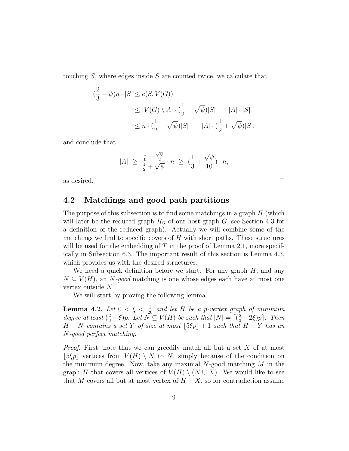touching  $S$ , where edges inside  $S$  are counted twice, we calculate that

$$
\begin{aligned} \left(\frac{2}{3} - \psi\right)n \cdot |S| &\le e(S, V(G)) \\ &\le |V(G) \setminus A| \cdot \left(\frac{1}{2} - \sqrt{\psi}\right)|S| \ + \ |A| \cdot |S| \\ &\le n \cdot \left(\frac{1}{2} - \sqrt{\psi}\right)|S| \ + \ |A| \cdot \left(\frac{1}{2} + \sqrt{\psi}\right)|S|, \end{aligned}
$$

and conclude that

$$
|A| \ \geq \ \frac{\frac{1}{6} + \frac{\sqrt{\psi}}{2}}{\frac{1}{2} + \sqrt{\psi}} \cdot n \ \geq \ \big( \frac{1}{3} + \frac{\sqrt{\psi}}{10} \big) \cdot n,
$$

 $\Box$ 

as desired.

## 4.2 Matchings and good path partitions

The purpose of this subsection is to find some matchings in a graph  $H$  (which will later be the reduced graph  $R_G$  of our host graph  $G$ , see Section 4.3 for a definition of the reduced graph). Actually we will combine some of the matchings we find to specific covers of  $H$  with short paths. These structures will be used for the embedding of T in the proof of Lemma 2.1, more specifically in Subsection 6.3. The important result of this section is Lemma 4.3, which provides us with the desired structures.

We need a quick definition before we start. For any graph  $H$ , and any  $N \subset V(H)$ , an N-good matching is one whose edges each have at most one vertex outside N.

We will start by proving the following lemma.

**Lemma 4.2.** Let  $0 < \xi < \frac{1}{20}$  and let H be a p-vertex graph of minimum degree at least  $(\frac{2}{3} - \xi)p$ . Let  $\overline{N} \subseteq V(H)$  be such that  $|N| = \lceil (\frac{2}{3} - 2\xi)p \rceil$ . Then  $H - N$  contains a set Y of size at most  $[5 \xi p] + 1$  such that  $H - Y$  has an N-good perfect matching.

Proof. First, note that we can greedily match all but a set X of at most  $|\,5\xi p\,|$  vertices from  $V(H) \setminus N$  to N, simply because of the condition on the minimum degree. Now, take any maximal  $N$ -good matching  $M$  in the graph H that covers all vertices of  $V(H) \setminus (N \cup X)$ . We would like to see that M covers all but at most vertex of  $H - X$ , so for contradiction assume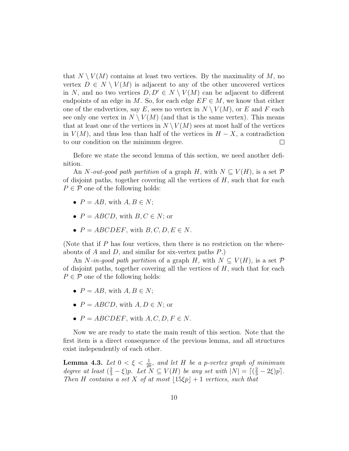that  $N \setminus V(M)$  contains at least two vertices. By the maximality of M, no vertex  $D \in N \setminus V(M)$  is adjacent to any of the other uncovered vertices in N, and no two vertices  $D, D' \in N \setminus V(M)$  can be adjacent to different endpoints of an edge in M. So, for each edge  $EF \in M$ , we know that either one of the endvertices, say E, sees no vertex in  $N \setminus V(M)$ , or E and F each see only one vertex in  $N \setminus V(M)$  (and that is the same vertex). This means that at least one of the vertices in  $N \setminus V(M)$  sees at most half of the vertices in  $V(M)$ , and thus less than half of the vertices in  $H - X$ , a contradiction to our condition on the minimum degree.  $\Box$ 

Before we state the second lemma of this section, we need another definition.

An N-out-good path partition of a graph H, with  $N \subset V(H)$ , is a set P of disjoint paths, together covering all the vertices of  $H$ , such that for each  $P \in \mathcal{P}$  one of the following holds:

- $P = AB$ , with  $A, B \in N$ ;
- $P = ABCD$ , with  $B, C \in N$ ; or
- $P = ABCDEF$ , with  $B, C, D, E \in N$ .

(Note that if  $P$  has four vertices, then there is no restriction on the whereabouts of A and D, and similar for six-vertex paths  $P$ .)

An N-in-good path partition of a graph H, with  $N \subseteq V(H)$ , is a set P of disjoint paths, together covering all the vertices of  $H$ , such that for each  $P \in \mathcal{P}$  one of the following holds:

- $P = AB$ , with  $A, B \in N$ ;
- $P = ABCD$ , with  $A, D \in N$ ; or
- $P = ABCDEF$ , with  $A, C, D, F \in N$ .

Now we are ready to state the main result of this section. Note that the first item is a direct consequence of the previous lemma, and all structures exist independently of each other.

**Lemma 4.3.** Let  $0 < \xi < \frac{1}{20}$ , and let H be a p-vertex graph of minimum degree at least  $(\frac{2}{3} - \xi)p$ . Let  $N \subseteq V(H)$  be any set with  $|N| = \lceil (\frac{2}{3} - 2\xi)p \rceil$ . Then H contains a set X of at most  $|15\xi p| + 1$  vertices, such that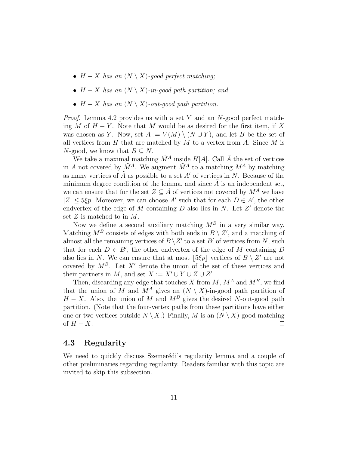- $H X$  has an  $(N \setminus X)$ -good perfect matching;
- $H X$  has an  $(N \setminus X)$ -in-good path partition; and
- $H X$  has an  $(N \setminus X)$ -out-good path partition.

*Proof.* Lemma 4.2 provides us with a set Y and an N-good perfect matching M of  $H - Y$ . Note that M would be as desired for the first item, if X was chosen as Y. Now, set  $A := V(M) \setminus (N \cup Y)$ , and let B be the set of all vertices from  $H$  that are matched by  $M$  to a vertex from  $A$ . Since  $M$  is N-good, we know that  $B \subseteq N$ .

We take a maximal matching  $\tilde{M}^A$  inside  $H[A]$ . Call  $\tilde{A}$  the set of vertices in A not covered by  $\tilde{M}^A$ . We augment  $\tilde{M}^A$  to a matching  $M^A$  by matching as many vertices of  $\tilde{A}$  as possible to a set  $A'$  of vertices in N. Because of the minimum degree condition of the lemma, and since  $\tilde{A}$  is an independent set, we can ensure that for the set  $Z \subseteq \tilde{A}$  of vertices not covered by  $M^A$  we have  $|Z| \leq 5\xi p$ . Moreover, we can choose A' such that for each  $D \in A'$ , the other endvertex of the edge of  $M$  containing  $D$  also lies in  $N$ . Let  $Z'$  denote the set  $Z$  is matched to in  $M$ .

Now we define a second auxiliary matching  $M^B$  in a very similar way. Matching  $M^B$  consists of edges with both ends in  $B \setminus Z'$ , and a matching of almost all the remaining vertices of  $B\setminus Z'$  to a set  $B'$  of vertices from N, such that for each  $D \in B'$ , the other endvertex of the edge of M containing D also lies in N. We can ensure that at most  $[5 \xi p]$  vertices of  $B \setminus Z'$  are not covered by  $M^B$ . Let X' denote the union of the set of these vertices and their partners in M, and set  $X := X' \cup Y \cup Z \cup Z'$ .

Then, discarding any edge that touches X from  $M$ ,  $M^A$  and  $M^B$ , we find that the union of M and  $M^A$  gives an  $(N \setminus X)$ -in-good path partition of  $H - X$ . Also, the union of M and  $M<sup>B</sup>$  gives the desired N-out-good path partition. (Note that the four-vertex paths from these partitions have either one or two vertices outside  $N \setminus X$ . Finally, M is an  $(N \setminus X)$ -good matching of  $H - X$ .  $\Box$ 

### 4.3 Regularity

We need to quickly discuss Szemerédi's regularity lemma and a couple of other preliminaries regarding regularity. Readers familiar with this topic are invited to skip this subsection.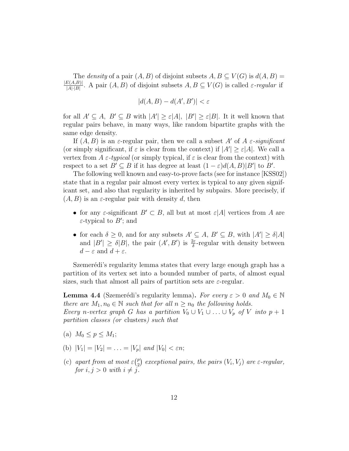The *density* of a pair  $(A, B)$  of disjoint subsets  $A, B \subseteq V(G)$  is  $d(A, B) =$  $|E(A,B)|$  $\frac{E(A,B)}{|A|\cdot|B|}$ . A pair  $(A, B)$  of disjoint subsets  $A, B \subseteq V(G)$  is called  $\varepsilon$ -regular if

$$
|d(A,B) - d(A',B')| < \varepsilon
$$

for all  $A' \subseteq A$ ,  $B' \subseteq B$  with  $|A'| \geq \varepsilon |A|$ ,  $|B'| \geq \varepsilon |B|$ . It it well known that regular pairs behave, in many ways, like random bipartite graphs with the same edge density.

If  $(A, B)$  is an  $\varepsilon$ -regular pair, then we call a subset A' of A  $\varepsilon$ -significant (or simply significant, if  $\varepsilon$  is clear from the context) if  $|A'| \geq \varepsilon |A|$ . We call a vertex from A  $\varepsilon$ -typical (or simply typical, if  $\varepsilon$  is clear from the context) with respect to a set  $B' \subseteq B$  if it has degree at least  $(1 - \varepsilon)d(A, B)|B'|$  to B'.

The following well known and easy-to-prove facts (see for instance [KSS02]) state that in a regular pair almost every vertex is typical to any given significant set, and also that regularity is inherited by subpairs. More precisely, if  $(A, B)$  is an  $\varepsilon$ -regular pair with density d, then

- for any  $\varepsilon$ -significant  $B' \subset B$ , all but at most  $\varepsilon |A|$  vertices from A are  $\varepsilon$ -typical to  $B'$ ; and
- for each  $\delta \geq 0$ , and for any subsets  $A' \subseteq A$ ,  $B' \subseteq B$ , with  $|A'| \geq \delta |A|$ and  $|B'| \geq \delta |B|$ , the pair  $(A', B')$  is  $\frac{2\varepsilon}{\delta}$ -regular with density between  $d - \varepsilon$  and  $d + \varepsilon$ .

Szemerédi's regularity lemma states that every large enough graph has a partition of its vertex set into a bounded number of parts, of almost equal sizes, such that almost all pairs of partition sets are  $\varepsilon$ -regular.

**Lemma 4.4** (Szemerédi's regularity lemma). For every  $\varepsilon > 0$  and  $M_0 \in \mathbb{N}$ there are  $M_1, n_0 \in \mathbb{N}$  such that for all  $n \geq n_0$  the following holds. Every n-vertex graph G has a partition  $V_0 \cup V_1 \cup \ldots \cup V_p$  of V into  $p + 1$ 

- (a)  $M_0 \leq p \leq M_1$ ;
- (b)  $|V_1| = |V_2| = \ldots = |V_n|$  and  $|V_0| < \varepsilon n$ ;

partition classes (or clusters) such that

(c) apart from at most  $\varepsilon$  ( $_2^p$ )  $\binom{p}{2}$  exceptional pairs, the pairs  $(V_i,V_j)$  are  $\varepsilon$ -regular, for  $i, j > 0$  with  $i \neq j$ .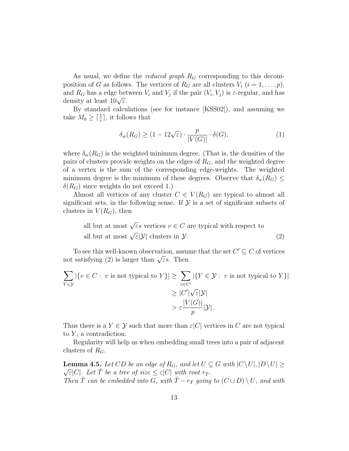As usual, we define the *reduced graph*  $R_G$  corresponding to this decomposition of G as follows. The vertices of  $R_G$  are all clusters  $V_i$   $(i = 1, \ldots, p)$ , and  $R_G$  has a edge between  $V_i$  and  $V_j$  if the pair  $(V_i, V_j)$  is  $\varepsilon$ -regular, and has and  $n_G$  has a edge bet<br>density at least  $10\sqrt{\varepsilon}$ .

By standard calculations (see for instance [KSS02]), and assuming we take  $M_0 \geq \lceil \frac{1}{\varepsilon} \rceil$ , it follows that

$$
\delta_w(R_G) \ge (1 - 12\sqrt{\varepsilon}) \cdot \frac{p}{|V(G)|} \cdot \delta(G),\tag{1}
$$

where  $\delta_w(R_G)$  is the weighted minimum degree. (That is, the densities of the pairs of clusters provide weights on the edges of  $R_G$ , and the weighted degree of a vertex is the sum of the corresponding edge-weights. The weighted minimum degree is the minimum of these degrees. Observe that  $\delta_w(R_G) \leq$  $\delta(R_G)$  since weights do not exceed 1.)

Almost all vertices of any cluster  $C \in V(R_G)$  are typical to almost all significant sets, in the following sense. If  $\mathcal Y$  is a set of significant subsets of clusters in  $V(R_G)$ , then

all but at most 
$$
\sqrt{\varepsilon} s
$$
 vertices  $v \in C$  are typical with respect to  
all but at most  $\sqrt{\varepsilon}|\mathcal{Y}|$  clusters in  $\mathcal{Y}$ . (2)

To see this well-known observation, assume that the set  $C' \subseteq C$  of vertices not satisfying (2) is larger than  $\sqrt{\varepsilon}$ s. Then

$$
\sum_{Y \in \mathcal{Y}} |\{v \in C : v \text{ is not typical to } Y\}| \ge \sum_{v \in C'} |\{Y \in \mathcal{Y} : v \text{ is not typical to } Y\}|
$$
  

$$
\ge |C'| \sqrt{\varepsilon} |\mathcal{Y}|
$$
  

$$
> \varepsilon \frac{|V(G)|}{p} |\mathcal{Y}|.
$$

Thus there is a  $Y \in \mathcal{Y}$  such that more than  $\varepsilon |C|$  vertices in C are not typical to  $Y$ , a contradiction.

Regularity will help us when embedding small trees into a pair of adjacent clusters of  $R_G$ .

**Lemma 4.5.** Let  $CD$  be an edge of  $R_G$ , and let  $U \subseteq G$  with  $|C \setminus U|, |D \setminus U| \ge$  $\sqrt{\varepsilon}|C|$ . Let  $\overline{T}$  be a tree of size  $\leq \varepsilon|C|$  with root  $r_{\overline{T}}$ . Then  $\overline{T}$  can be embedded into G, with  $\overline{T} - r_{\overline{T}}$  going to  $(C \cup D) \setminus U$ , and with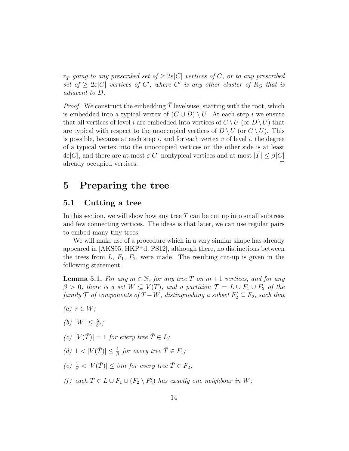$r_{\bar{T}}$  going to any prescribed set of  $\geq 2\varepsilon|C|$  vertices of C, or to any prescribed set of  $\geq 2\varepsilon|C|$  vertices of C', where C' is any other cluster of  $R_G$  that is adjacent to D.

*Proof.* We construct the embedding  $\overline{T}$  levelwise, starting with the root, which is embedded into a typical vertex of  $(C \cup D) \setminus U$ . At each step i we ensure that all vertices of level i are embedded into vertices of  $C \setminus U$  (or  $D \setminus U$ ) that are typical with respect to the unoccupied vertices of  $D \setminus U$  (or  $C \setminus U$ ). This is possible, because at each step i, and for each vertex v of level i, the degree of a typical vertex into the unoccupied vertices on the other side is at least  $4\varepsilon|C|$ , and there are at most  $\varepsilon|C|$  nontypical vertices and at most  $|T|\leq\beta|C|$ already occupied vertices.  $\Box$ 

# 5 Preparing the tree

### 5.1 Cutting a tree

In this section, we will show how any tree  $T$  can be cut up into small subtrees and few connecting vertices. The ideas is that later, we can use regular pairs to embed many tiny trees.

We will make use of a procedure which in a very similar shape has already appeared in [AKS95, HKP<sup>+</sup>d, PS12], although there, no distinctions between the trees from  $L, F_1, F_2$ , were made. The resulting cut-up is given in the following statement.

**Lemma 5.1.** For any  $m \in \mathbb{N}$ , for any tree T on  $m+1$  vertices, and for any  $\beta > 0$ , there is a set  $W \subseteq V(T)$ , and a partition  $\mathcal{T} = L \cup F_1 \cup F_2$  of the  $family \top$  of components of  $T - W$ , distinguishing a subset  $F_2' \subseteq F_2$ , such that

- (a)  $r \in W$ ;
- (*b*)  $|W| \leq \frac{2}{\beta^2}$ ;
- (c)  $|V(\overline{T})| = 1$  for every tree  $\overline{T} \in L$ ;
- (d)  $1 < |V(\overline{T})| \leq \frac{1}{\beta}$  for every tree  $\overline{T} \in F_1$ ;
- (e)  $\frac{1}{\beta}$  <  $|V(\overline{T})| \leq \beta m$  for every tree  $\overline{T} \in F_2$ ;
- (f) each  $\overline{T} \in L \cup F_1 \cup (F_2 \setminus F_2')$  has exactly one neighbour in W;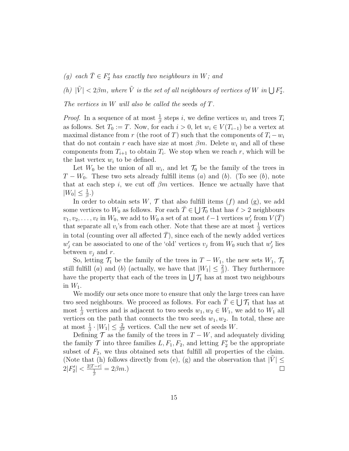(g) each  $\overline{T} \in F'_2$  has exactly two neighbours in W; and

(h)  $|\tilde{V}| < 2\beta m$ , where  $\tilde{V}$  is the set of all neighbours of vertices of W in  $\bigcup F_2'$ .

The vertices in W will also be called the seeds of  $T$ .

*Proof.* In a sequence of at most  $\frac{1}{\beta}$  steps *i*, we define vertices  $w_i$  and trees  $T_i$ as follows. Set  $T_0 := T$ . Now, for each  $i > 0$ , let  $w_i \in V(T_{i-1})$  be a vertex at maximal distance from r (the root of T) such that the components of  $T_i - w_i$ that do not contain r each have size at most  $\beta m$ . Delete  $w_i$  and all of these components from  $T_{i+1}$  to obtain  $T_i$ . We stop when we reach r, which will be the last vertex  $w_i$  to be defined.

Let  $W_0$  be the union of all  $w_i$ , and let  $\mathcal{T}_0$  be the family of the trees in  $T - W_0$ . These two sets already fulfill items (a) and (b). (To see (b), note that at each step i, we cut off  $\beta m$  vertices. Hence we actually have that  $|W_0| \leq \frac{1}{\beta}$ .)

In order to obtain sets  $W, \mathcal{T}$  that also fulfill items  $(f)$  and  $(g)$ , we add some vertices to  $W_0$  as follows. For each  $\overline{T} \in \bigcup \mathcal{T}_0$  that has  $\ell > 2$  neighbours  $v_1, v_2, \ldots, v_\ell$  in  $W_0$ , we add to  $W_0$  a set of at most  $\ell-1$  vertices  $w'_j$  from  $V(\bar{T})$ that separate all  $v_i$ 's from each other. Note that these are at most  $\frac{1}{\beta}$  vertices in total (counting over all affected  $\overline{T}$ ), since each of the newly added vertices  $w_j'$  can be associated to one of the 'old' vertices  $v_j$  from  $W_0$  such that  $w_j'$  lies between  $v_j$  and r.

So, letting  $\mathcal{T}_1$  be the family of the trees in  $T - W_1$ , the new sets  $W_1$ ,  $\mathcal{T}_1$ still fulfill (a) and (b) (actually, we have that  $|W_1| \leq \frac{2}{\beta}$ ). They furthermore have the property that each of the trees in  $\bigcup \mathcal{T}_1$  has at most two neighbours in  $W_1$ .

We modify our sets once more to ensure that only the large trees can have two seed neighbours. We proceed as follows. For each  $\overline{T} \in \bigcup \mathcal{T}_1$  that has at most  $\frac{1}{\beta}$  vertices and is adjacent to two seeds  $w_1, w_2 \in W_1$ , we add to  $W_1$  all vertices on the path that connects the two seeds  $w_1, w_2$ . In total, these are at most  $\frac{1}{\beta} \cdot |W_1| \leq \frac{2}{\beta^2}$  vertices. Call the new set of seeds W.

Defining  $\mathcal T$  as the family of the trees in  $T - W$ , and adequately dividing the family  $\mathcal T$  into three families  $L, F_1, F_2$ , and letting  $F_2'$  be the appropriate subset of  $F_2$ , we thus obtained sets that fulfill all properties of the claim. (Note that (h) follows directly from (e), (g) and the observation that  $|V| \leq$  $2|F'_2| < \frac{2|T-r|}{\frac{1}{\beta}} = 2\beta m.$  $\Box$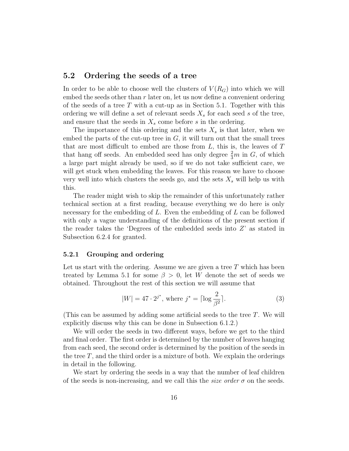### 5.2 Ordering the seeds of a tree

In order to be able to choose well the clusters of  $V(R_G)$  into which we will embed the seeds other than  $r$  later on, let us now define a convenient ordering of the seeds of a tree T with a cut-up as in Section 5.1. Together with this ordering we will define a set of relevant seeds  $X_s$  for each seed s of the tree, and ensure that the seeds in  $X_s$  come before s in the ordering.

The importance of this ordering and the sets  $X_s$  is that later, when we embed the parts of the cut-up tree in  $G$ , it will turn out that the small trees that are most difficult to embed are those from  $L$ , this is, the leaves of  $T$ that hang off seeds. An embedded seed has only degree  $\frac{2}{3}m$  in  $G$ , of which a large part might already be used, so if we do not take sufficient care, we will get stuck when embedding the leaves. For this reason we have to choose very well into which clusters the seeds go, and the sets  $X_s$  will help us with this.

The reader might wish to skip the remainder of this unfortunately rather technical section at a first reading, because everything we do here is only necessary for the embedding of  $L$ . Even the embedding of  $L$  can be followed with only a vague understanding of the definitions of the present section if the reader takes the 'Degrees of the embedded seeds into  $Z'$  as stated in Subsection 6.2.4 for granted.

#### 5.2.1 Grouping and ordering

Let us start with the ordering. Assume we are given a tree  $T$  which has been treated by Lemma 5.1 for some  $\beta > 0$ , let W denote the set of seeds we obtained. Throughout the rest of this section we will assume that

$$
|W| = 47 \cdot 2^{j^*}, \text{ where } j^* = \lceil \log \frac{2}{\beta^2} \rceil. \tag{3}
$$

(This can be assumed by adding some artificial seeds to the tree T. We will explicitly discuss why this can be done in Subsection 6.1.2.)

We will order the seeds in two different ways, before we get to the third and final order. The first order is determined by the number of leaves hanging from each seed, the second order is determined by the position of the seeds in the tree  $T$ , and the third order is a mixture of both. We explain the orderings in detail in the following.

We start by ordering the seeds in a way that the number of leaf children of the seeds is non-increasing, and we call this the *size order*  $\sigma$  on the seeds.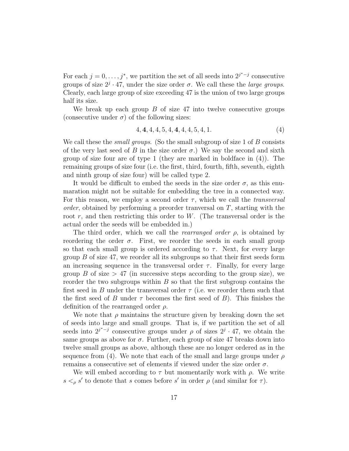For each  $j = 0, \ldots, j^*$ , we partition the set of all seeds into  $2^{j^*-j}$  consecutive groups of size  $2^j \cdot 47$ , under the size order  $\sigma$ . We call these the *large groups*. Clearly, each large group of size exceeding 47 is the union of two large groups half its size.

We break up each group  $B$  of size 47 into twelve consecutive groups (consecutive under  $\sigma$ ) of the following sizes:

$$
4, 4, 4, 4, 5, 4, 4, 4, 4, 5, 4, 1. \tag{4}
$$

We call these the *small groups*. (So the small subgroup of size 1 of  $B$  consists of the very last seed of B in the size order  $\sigma$ .) We say the second and sixth group of size four are of type 1 (they are marked in boldface in (4)). The remaining groups of size four (i.e. the first, third, fourth, fifth, seventh, eighth and ninth group of size four) will be called type 2.

It would be difficult to embed the seeds in the size order  $\sigma$ , as this enumaration might not be suitable for embedding the tree in a connected way. For this reason, we employ a second order  $\tau$ , which we call the *transversal order*, obtained by performing a preorder tranversal on  $T$ , starting with the root  $r$ , and then restricting this order to  $W$ . (The transversal order is the actual order the seeds will be embedded in.)

The third order, which we call the *rearranged order*  $\rho$ , is obtained by reordering the order  $\sigma$ . First, we reorder the seeds in each small group so that each small group is ordered according to  $\tau$ . Next, for every large group  $B$  of size 47, we reorder all its subgroups so that their first seeds form an increasing sequence in the transversal order  $\tau$ . Finally, for every large group B of size  $> 47$  (in successive steps according to the group size), we reorder the two subgroups within  $B$  so that the first subgroup contains the first seed in B under the transversal order  $\tau$  (i.e. we reorder them such that the first seed of B under  $\tau$  becomes the first seed of B). This finishes the definition of the rearranged order  $\rho$ .

We note that  $\rho$  maintains the structure given by breaking down the set of seeds into large and small groups. That is, if we partition the set of all seeds into  $2^{j^* - j}$  consecutive groups under  $\rho$  of sizes  $2^j \cdot 47$ , we obtain the same groups as above for  $\sigma$ . Further, each group of size 47 breaks down into twelve small groups as above, although these are no longer ordered as in the sequence from (4). We note that each of the small and large groups under  $\rho$ remains a consecutive set of elements if viewed under the size order  $\sigma$ .

We will embed according to  $\tau$  but momentarily work with  $\rho$ . We write  $s <_{\rho} s'$  to denote that s comes before s' in order  $\rho$  (and similar for  $\tau$ ).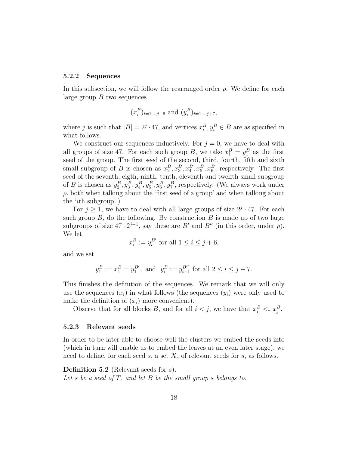#### 5.2.2 Sequences

In this subsection, we will follow the rearranged order  $\rho$ . We define for each large group  $B$  two sequences

$$
(x_i^B)_{i=1...,j+6}
$$
 and  $(y_i^B)_{i=1...,j+7}$ ,

where j is such that  $|B| = 2<sup>j</sup> \cdot 47$ , and vertices  $x_i^B, y_i^B \in B$  are as specified in what follows.

We construct our sequences inductively. For  $j = 0$ , we have to deal with all groups of size 47. For each such group B, we take  $x_1^B = y_1^B$  as the first seed of the group. The first seed of the second, third, fourth, fifth and sixth small subgroup of B is chosen as  $x_2^B, x_3^B, x_4^B, x_5^B, x_6^B$ , respectively. The first seed of the seventh, eigth, ninth, tenth, eleventh and twelfth small subgroup of B is chosen as  $y_2^B, y_3^B, y_4^B, y_5^B, y_6^B, y_7^B$ , respectively. (We always work under  $\rho$ , both when talking about the 'first seed of a group' and when talking about the 'ith subgroup'.)

For  $j \geq 1$ , we have to deal with all large groups of size  $2^{j} \cdot 47$ . For each such group  $B$ , do the following. By construction  $B$  is made up of two large subgroups of size  $47 \cdot 2^{j-1}$ , say these are B' and B'' (in this order, under  $\rho$ ). We let

$$
x_i^B := y_i^{B'} \text{ for all } 1 \le i \le j+6,
$$

and we set

$$
y_1^B := x_1^B = y_1^{B'}, \text{ and } y_i^B := y_{i-1}^{B''} \text{ for all } 2 \le i \le j+7.
$$

This finishes the definition of the sequences. We remark that we will only use the sequences  $(x_i)$  in what follows (the sequences  $(y_i)$ ) were only used to make the definition of  $(x_i)$  more convenient).

Observe that for all blocks B, and for all  $i < j$ , we have that  $x_i^B <_{\tau} x_j^B$ .

#### 5.2.3 Relevant seeds

In order to be later able to choose well the clusters we embed the seeds into (which in turn will enable us to embed the leaves at an even later stage), we need to define, for each seed  $s$ , a set  $X_s$  of relevant seeds for  $s$ , as follows.

Definition 5.2 (Relevant seeds for s). Let s be a seed of  $T$ , and let  $B$  be the small group s belongs to.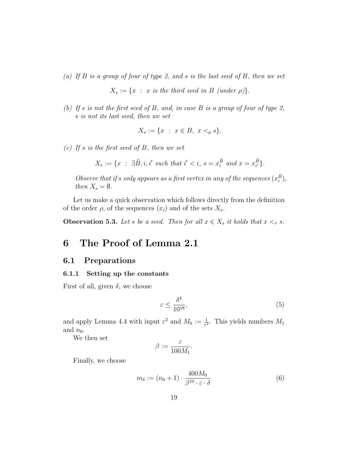(a) If  $B$  is a group of four of type 2, and s is the last seed of  $B$ , then we set

 $X_s := \{x : x \text{ is the third seed in } B \text{ (under } \rho)\}.$ 

(b) If s is not the first seed of B, and, in case B is a group of four of type 2, s is not its last seed, then we set

$$
X_s := \{ x : x \in B, x <_{\rho} s \}.
$$

(c) If s is the first seed of B, then we set

$$
X_s := \{ x \ : \ \exists \tilde{B}, i, i' \ \text{such that} \ i' < i, \ s = x_i^{\tilde{B}} \ \text{and} \ x = x_{i'}^{\tilde{B}} \}.
$$

Observe that if s only appears as a first vertex in any of the sequences  $(x_i^{\tilde{B}})$ , then  $X_s = \emptyset$ .

Let us make a quick observation which follows directly from the definition of the order  $\rho$ , of the sequences  $(x_i)$  and of the sets  $X_s$ .

**Observation 5.3.** Let s be a seed. Then for all  $x \in X_s$  it holds that  $x \leq_\tau s$ .

# 6 The Proof of Lemma 2.1

### 6.1 Preparations

#### 6.1.1 Setting up the constants

First of all, given  $\delta$ , we choose

$$
\varepsilon \le \frac{\delta^4}{10^{18}},\tag{5}
$$

and apply Lemma 4.4 with input  $\varepsilon^2$  and  $M_0 := \frac{1}{\varepsilon^2}$ . This yields numbers  $M_1$ and  $n_0$ .

We then set

$$
\beta:=\frac{\varepsilon}{100M_1}.
$$

Finally, we choose

$$
m_{\delta} := (n_0 + 1) \cdot \frac{400M_0}{\beta^{10} \cdot \varepsilon \cdot \delta} \tag{6}
$$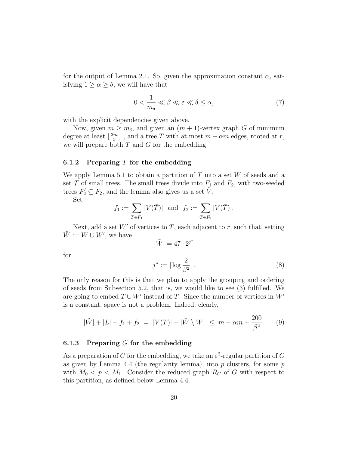for the output of Lemma 2.1. So, given the approximation constant  $\alpha$ , satisfying  $1 \ge \alpha \ge \delta$ , we will have that

$$
0 < \frac{1}{m_{\delta}} \ll \beta \ll \varepsilon \ll \delta \le \alpha,\tag{7}
$$

with the explicit dependencies given above.

Now, given  $m \geq m_{\delta}$ , and given an  $(m + 1)$ -vertex graph G of minimum degree at least  $\lfloor \frac{2m}{3} \rfloor$  $\frac{m}{3}$ ], and a tree T with at most  $m - \alpha m$  edges, rooted at r, we will prepare both  $T$  and  $G$  for the embedding.

#### 6.1.2 Preparing  $T$  for the embedding

We apply Lemma 5.1 to obtain a partition of  $T$  into a set  $W$  of seeds and a set  $\mathcal T$  of small trees. The small trees divide into  $F_1$  and  $F_2$ , with two-seeded trees  $F_2' \subseteq F_2$ , and the lemma also gives us a set  $\tilde{V}$ .

Set

for

$$
f_1 := \sum_{\bar{T} \in F_1} |V(\bar{T})|
$$
 and  $f_2 := \sum_{\bar{T} \in F_2} |V(\bar{T})|$ .

Next, add a set  $W'$  of vertices to T, each adjacent to r, such that, setting  $\tilde{W} := W \cup W'$ , we have

 $|\tilde{W}| = 47 \cdot 2^{j^*}$  $j^* := \lceil \log \frac{2}{\alpha} \rceil$  $\beta^2$  $\left. \begin{array}{cc} \end{array} \right.$  (8)

The only reason for this is that we plan to apply the grouping and ordering of seeds from Subsection 5.2, that is, we would like to see (3) fulfilled. We are going to embed  $T \cup W'$  instead of T. Since the number of vertices in  $W'$ is a constant, space is not a problem. Indeed, clearly,

$$
|\tilde{W}| + |L| + f_1 + f_2 = |V(T)| + |\tilde{W} \setminus W| \le m - \alpha m + \frac{200}{\beta^2}.
$$
 (9)

#### 6.1.3 Preparing  $G$  for the embedding

As a preparation of G for the embedding, we take an  $\varepsilon^2$ -regular partition of G as given by Lemma 4.4 (the regularity lemma), into  $p$  clusters, for some  $p$ with  $M_0 < p < M_1$ . Consider the reduced graph  $R_G$  of G with respect to this partition, as defined below Lemma 4.4.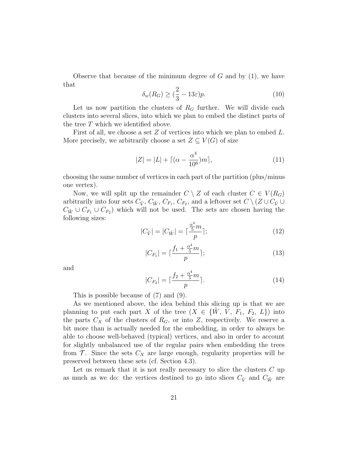Observe that because of the minimum degree of  $G$  and by  $(1)$ , we have that

$$
\delta_w(R_G) \ge \left(\frac{2}{3} - 13\varepsilon\right)p.\tag{10}
$$

Let us now partition the clusters of  $R_G$  further. We will divide each clusters into several slices, into which we plan to embed the distinct parts of the tree T which we identified above.

First of all, we choose a set  $Z$  of vertices into which we plan to embed  $L$ . More precisely, we arbitrarily choose a set  $Z \subseteq V(G)$  of size

$$
|Z| = |L| + \lceil (\alpha - \frac{\alpha^4}{10^6})m \rceil, \tag{11}
$$

choosing the same number of vertices in each part of the partition (plus/minus one vertex).

Now, we will split up the remainder  $C \setminus Z$  of each cluster  $C \in V(R_G)$ arbitrarily into four sets  $C_{\tilde{V}}, C_{\tilde{W}}, C_{F_1}, C_{F_2}$ , and a leftover set  $C \setminus (Z \cup C_{\tilde{V}} \cup$  $C_{\tilde{W}} \cup C_{F_1} \cup C_{F_2}$  which will not be used. The sets are chosen having the following sizes:

$$
|C_{\tilde{V}}| = |C_{\tilde{W}}| = \lceil \frac{\frac{\alpha^4}{5}m}{p} \rceil;
$$
 (12)

$$
|C_{F_1}| = \lceil \frac{f_1 + \frac{\alpha^4}{5}m}{p} \rceil;
$$
\n(13)

and

$$
|C_{F_2}| = \lceil \frac{f_2 + \frac{\alpha^4}{5}m}{p} \rceil.
$$
 (14)

This is possible because of (7) and (9).

As we mentioned above, the idea behind this slicing up is that we are planning to put each part X of the tree  $(X \in \{W, V, F_1, F_2, L\})$  into the parts  $C_X$  of the clusters of  $R_G$ , or into Z, respectively. We reserve a bit more than is actually needed for the embedding, in order to always be able to choose well-behaved (typical) vertices, and also in order to account for slightly unbalanced use of the regular pairs when embedding the trees from  $\mathcal{T}$ . Since the sets  $C_X$  are large enough, regularity properties will be preserved between these sets (cf. Section 4.3).

Let us remark that it is not really necessary to slice the clusters C up as much as we do: the vertices destined to go into slices  $C_{\tilde{V}}$  and  $C_{\tilde{W}}$  are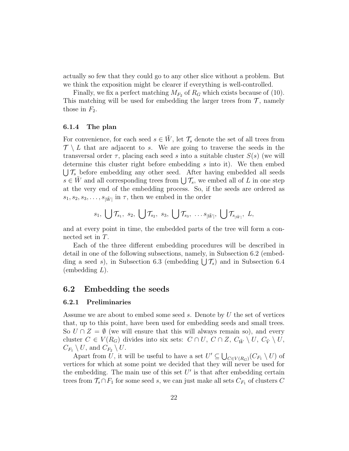actually so few that they could go to any other slice without a problem. But we think the exposition might be clearer if everything is well-controlled.

Finally, we fix a perfect matching  $M_{F_2}$  of  $R_G$  which exists because of (10). This matching will be used for embedding the larger trees from  $\mathcal{T}$ , namely those in  $F_2$ .

#### 6.1.4 The plan

For convenience, for each seed  $s \in \tilde{W}$ , let  $\mathcal{T}_s$  denote the set of all trees from  $\mathcal{T} \setminus L$  that are adjacent to s. We are going to traverse the seeds in the transversal order  $\tau$ , placing each seed s into a suitable cluster  $S(s)$  (we will determine this cluster right before embedding s into it). We then embed  $\bigcup \mathcal{T}_s$  before embedding any other seed. After having embedded all seeds  $s \in \tilde{W}$  and all corresponding trees from  $\bigcup \mathcal{T}_s$ , we embed all of L in one step at the very end of the embedding process. So, if the seeds are ordered as  $s_1, s_2, s_3, \ldots, s_{|\tilde{W}|}$  in  $\tau$ , then we embed in the order

$$
s_1, \bigcup \mathcal{T}_{s_1}, s_2, \bigcup \mathcal{T}_{s_2}, s_3, \bigcup \mathcal{T}_{s_3}, \ldots s_{|\tilde{W}|}, \bigcup \mathcal{T}_{s_{|\tilde{W}|}}, L,
$$

and at every point in time, the embedded parts of the tree will form a connected set in T.

Each of the three different embedding procedures will be described in detail in one of the following subsections, namely, in Subsection 6.2 (embedding a seed s), in Subsection 6.3 (embedding  $\bigcup \mathcal{T}_s$ ) and in Subsection 6.4  $(embedding L).$ 

## 6.2 Embedding the seeds

#### 6.2.1 Preliminaries

Assume we are about to embed some seed s. Denote by U the set of vertices that, up to this point, have been used for embedding seeds and small trees. So  $U \cap Z = \emptyset$  (we will ensure that this will always remain so), and every cluster  $C \in V(R_G)$  divides into six sets:  $C \cap U$ ,  $C \cap Z$ ,  $C_{\tilde{W}} \setminus U$ ,  $C_{\tilde{V}} \setminus U$ ,  $C_{F_1} \setminus U$ , and  $C_{F_2} \setminus U$ .

Apart from U, it will be useful to have a set  $U' \subseteq \bigcup_{C \in V(R_G)} (C_{F_1} \setminus U)$  of vertices for which at some point we decided that they will never be used for the embedding. The main use of this set  $U'$  is that after embedding certain trees from  $\mathcal{T}_s \cap F_1$  for some seed s, we can just make all sets  $C_{F_1}$  of clusters C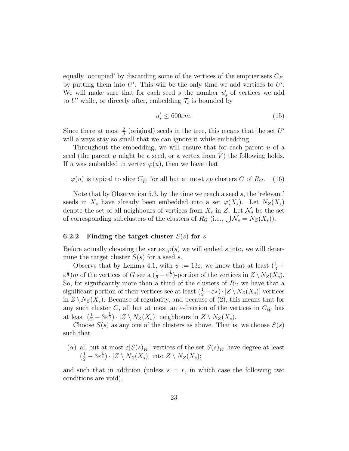equally 'occupied' by discarding some of the vertices of the emptier sets  $C_{F_1}$ by putting them into  $U'$ . This will be the only time we add vertices to  $U'$ . We will make sure that for each seed  $s$  the number  $u'_{s}$  of vertices we add to U' while, or directly after, embedding  $\mathcal{T}_s$  is bounded by

$$
u_s' \le 600\epsilon m. \tag{15}
$$

Since there at most  $\frac{2}{\beta}$  (original) seeds in the tree, this means that the set U' will always stay so small that we can ignore it while embedding.

Throughout the embedding, we will ensure that for each parent  $u$  of a seed (the parent u might be a seed, or a vertex from  $V$ ) the following holds. If u was embedded in vertex  $\varphi(u)$ , then we have that

 $\varphi(u)$  is typical to slice  $C_{\tilde{W}}$  for all but at most  $\varepsilon p$  clusters C of  $R_G$ . (16)

Note that by Observation 5.3, by the time we reach a seed  $s$ , the 'relevant' seeds in  $X_s$  have already been embedded into a set  $\varphi(X_s)$ . Let  $N_Z(X_s)$ denote the set of all neighbours of vertices from  $X_s$  in Z. Let  $\mathcal{N}_s$  be the set of corresponding subclusters of the clusters of  $R_G$  (i.e.,  $\bigcup \mathcal{N}_s = N_Z(X_s)$ ).

#### 6.2.2 Finding the target cluster  $S(s)$  for s

Before actually choosing the vertex  $\varphi(s)$  we will embed s into, we will determine the target cluster  $S(s)$  for a seed s.

Observe that by Lemma 4.1, with  $\psi := 13\varepsilon$ , we know that at least  $(\frac{1}{3} +$  $\varepsilon^{\frac{1}{3}}$ )*m* of the vertices of G see a  $(\frac{1}{2} - \varepsilon^{\frac{1}{3}})$ -portion of the vertices in  $Z \setminus N_Z(X_s)$ . So, for significantly more than a third of the clusters of  $R_G$  we have that a significant portion of their vertices see at least  $(\frac{1}{2} - \varepsilon^{\frac{1}{3}}) \cdot |Z \setminus N_Z(X_s)|$  vertices in  $Z \setminus N_Z(X_s)$ . Because of regularity, and because of (2), this means that for any such cluster C, all but at most an  $\varepsilon$ -fraction of the vertices in  $C_{\tilde{W}}$  has at least  $(\frac{1}{2} - 3\varepsilon^{\frac{1}{3}}) \cdot |Z \setminus N_Z(X_s)|$  neighbours in  $Z \setminus N_Z(X_s)$ .

Choose  $S(s)$  as any one of the clusters as above. That is, we choose  $S(s)$ such that

(a) all but at most  $\varepsilon|S(s)_{\tilde{W}}|$  vertices of the set  $S(s)_{\tilde{W}}$  have degree at least  $(\frac{1}{2} - 3\varepsilon^{\frac{1}{3}}) \cdot |Z \setminus N_Z(X_s)|$  into  $Z \setminus N_Z(X_s)$ ;

and such that in addition (unless  $s = r$ , in which case the following two conditions are void),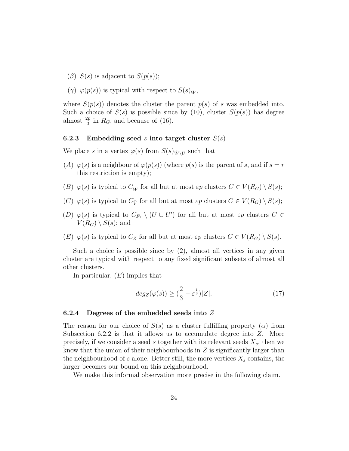- $(\beta)$  S(s) is adjacent to S(p(s));
- (γ)  $\varphi(p(s))$  is typical with respect to  $S(s)_{\tilde{W}}$ ,

where  $S(p(s))$  denotes the cluster the parent  $p(s)$  of s was embedded into. Such a choice of  $S(s)$  is possible since by (10), cluster  $S(p(s))$  has degree almost  $\frac{2p}{3}$  in  $R_G$ , and because of (16).

#### 6.2.3 Embedding seed s into target cluster  $S(s)$

We place s in a vertex  $\varphi(s)$  from  $S(s)_{\tilde{W}\setminus U}$  such that

- (A)  $\varphi(s)$  is a neighbour of  $\varphi(p(s))$  (where  $p(s)$  is the parent of s, and if  $s = r$ this restriction is empty);
- (B)  $\varphi(s)$  is typical to  $C_{\tilde{W}}$  for all but at most  $\varepsilon p$  clusters  $C \in V(R_G) \setminus S(s);$
- (C)  $\varphi(s)$  is typical to  $C_{\tilde{V}}$  for all but at most  $\varepsilon p$  clusters  $C \in V(R_G) \setminus S(s);$
- (D)  $\varphi(s)$  is typical to  $C_{F_1} \setminus (U \cup U')$  for all but at most  $\varepsilon p$  clusters  $C \in$  $V(R_G) \setminus S(s)$ ; and
- (E)  $\varphi(s)$  is typical to  $C_Z$  for all but at most  $\varepsilon p$  clusters  $C \in V(R_G) \setminus S(s)$ .

Such a choice is possible since by  $(2)$ , almost all vertices in any given cluster are typical with respect to any fixed significant subsets of almost all other clusters.

In particular,  $(E)$  implies that

$$
deg_Z(\varphi(s)) \ge \left(\frac{2}{3} - \varepsilon^{\frac{1}{3}}\right)|Z|.\tag{17}
$$

### 6.2.4 Degrees of the embedded seeds into Z

The reason for our choice of  $S(s)$  as a cluster fulfilling property  $(\alpha)$  from Subsection 6.2.2 is that it allows us to accumulate degree into  $Z$ . More precisely, if we consider a seed s together with its relevant seeds  $X_s$ , then we know that the union of their neighbourhoods in  $Z$  is significantly larger than the neighbourhood of s alone. Better still, the more vertices  $X_s$  contains, the larger becomes our bound on this neighbourhood.

We make this informal observation more precise in the following claim.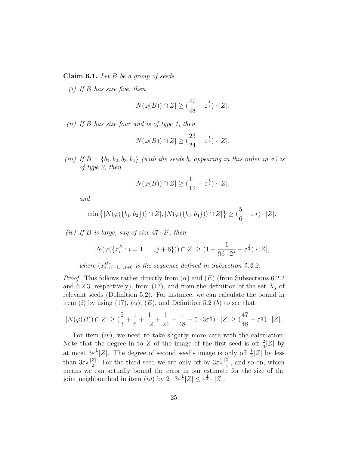**Claim 6.1.** Let  $B$  be a group of seeds.

 $(i)$  If B has size five, then

$$
|N(\varphi(B)) \cap Z| \ge \left(\frac{47}{48} - \varepsilon^{\frac{1}{4}}\right) \cdot |Z|.
$$

(ii) If B has size four and is of type 1, then

$$
|N(\varphi(B)) \cap Z| \ge \left(\frac{23}{24} - \varepsilon^{\frac{1}{4}}\right) \cdot |Z|.
$$

(iii) If  $B = \{b_1, b_2, b_3, b_4\}$  (with the seeds  $b_i$  appearing in this order in  $\sigma$ ) is of type 2, then

$$
|N(\varphi(B)) \cap Z| \geq (\frac{11}{12} - \varepsilon^{\frac{1}{4}}) \cdot |Z|,
$$

and

$$
\min \left\{ |N(\varphi(\{b_1, b_2\})) \cap Z|, |N(\varphi(\{b_3, b_4\})) \cap Z| \right\} \geq (\frac{5}{6} - \varepsilon^{\frac{1}{4}}) \cdot |Z|.
$$

(iv) If B is large, say of size  $47 \cdot 2^j$ , then

$$
|N(\varphi(\{x_i^B : i = 1 \dots, j + 6\})) \cap Z| \ge (1 - \frac{1}{96 \cdot 2^j} - \varepsilon^{\frac{1}{4}}) \cdot |Z|,
$$

where 
$$
(x_i^B)_{i=1...,j+6}
$$
 is the sequence defined in Subsection 5.2.2.

*Proof.* This follows rather directly from  $(\alpha)$  and  $(E)$  (from Subsections 6.2.2) and 6.2.3, respectively), from (17), and from the definition of the set  $X_s$  of relevant seeds (Definition 5.2). For instance, we can calculate the bound in item (i) by using (17),  $(\alpha)$ ,  $(E)$ , and Definition 5.2 (b) to see that

$$
|N(\varphi(B)) \cap Z| \geq (\frac{2}{3} + \frac{1}{6} + \frac{1}{12} + \frac{1}{24} + \frac{1}{48} - 5 \cdot 3\varepsilon^{\frac{1}{3}}) \cdot |Z| \geq (\frac{47}{48} - \varepsilon^{\frac{1}{4}}) \cdot |Z|.
$$

For item  $(iv)$ , we need to take slightly more care with the calculation. Note that the degree in to Z of the image of the first seed is off  $\frac{2}{3}|Z|$  by at most  $3\varepsilon^{\frac{1}{3}}|Z|$ . The degree of second seed's image is only off  $\frac{1}{2}|Z|$  by less than  $3\varepsilon^{\frac{1}{3}}\frac{|Z|}{2}$  $\frac{Z}{2}$ . For the third seed we are only off by  $3\varepsilon^{\frac{1}{3}}\frac{|Z|}{4}$  $\frac{z_1}{4}$ , and so on, which means we can actually bound the error in our estimate for the size of the joint neighbourhod in item  $(iv)$  by  $2 \cdot 3\varepsilon^{\frac{1}{3}} |Z| \leq \varepsilon^{\frac{1}{4}} \cdot |Z|$ .  $\Box$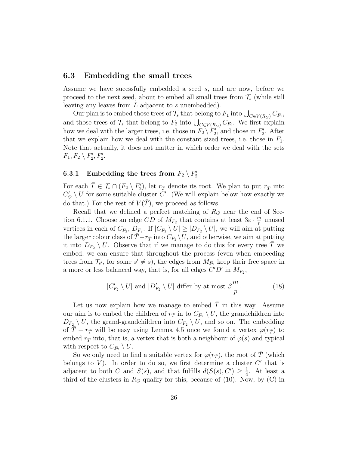### 6.3 Embedding the small trees

Assume we have sucessfully embedded a seed s, and are now, before we proceed to the next seed, about to embed all small trees from  $\mathcal{T}_s$  (while still leaving any leaves from L adjacent to s unembedded).

Our plan is to embed those trees of  $\mathcal{T}_s$  that belong to  $F_1$  into  $\bigcup_{C \in V(R_G)} C_{F_1}$ , and those trees of  $\mathcal{T}_s$  that belong to  $F_2$  into  $\bigcup_{C \in V(R_G)} C_{F_2}$ . We first explain how we deal with the larger trees, i.e. those in  $F_2 \setminus F'_2$ , and those in  $F'_2$ . After that we explain how we deal with the constant sized trees, i.e. those in  $F_1$ . Note that actually, it does not matter in which order we deal with the sets  $F_1, F_2 \setminus F_2', F_2'.$ 

# $\textbf{6.3.1} \quad \textbf{Embedding the trees from} \; F_2 \setminus F_2'$

For each  $\bar{T} \in \mathcal{T}_s \cap (F_2 \setminus F_2')$ , let  $r_{\bar{T}}$  denote its root. We plan to put  $r_{\bar{T}}$  into  $C_{\tilde{V}}' \setminus U$  for some suitable cluster C'. (We will explain below how exactly we do that.) For the rest of  $V(\overline{T})$ , we proceed as follows.

Recall that we defined a perfect matching of  $R_G$  near the end of Section 6.1.1. Choose an edge CD of  $M_{F_2}$  that contains at least  $3\varepsilon \cdot \frac{m}{n}$  $\frac{n}{p}$  unused vertices in each of  $C_{F_2}, D_{F_2}$ . If  $|C_{F_2} \setminus U| \geq |D_{F_2} \setminus U|$ , we will aim at putting the larger colour class of  $\overline{T}-r_{\overline{T}}$  into  $C_{F_2}\backslash U$ , and otherwise, we aim at putting it into  $D_{F_2} \setminus U$ . Observe that if we manage to do this for every tree T we embed, we can ensure that throughout the process (even when embeeding trees from  $\mathcal{T}_{s'}$ , for some  $s' \neq s$ , the edges from  $M_{F_2}$  keep their free space in a more or less balanced way, that is, for all edges  $C'D'$  in  $M_{F_2}$ ,

$$
|C'_{F_2} \setminus U|
$$
 and  $|D'_{F_2} \setminus U|$  differ by at most  $\beta \frac{m}{p}$ . (18)

Let us now explain how we manage to embed  $\overline{T}$  in this way. Assume our aim is to embed the children of  $r_{\bar{T}}$  in to  $C_{F_2} \setminus U$ , the grandchildren into  $D_{F_2} \setminus U$ , the grand-grandchildren into  $C_{F_2} \setminus U$ , and so on. The embedding of  $T - r_{\bar{T}}$  will be easy using Lemma 4.5 once we found a vertex  $\varphi(r_{\bar{T}})$  to embed  $r_{\bar{T}}$  into, that is, a vertex that is both a neighbour of  $\varphi(s)$  and typical with respect to  $C_{F_2} \setminus U$ .

So we only need to find a suitable vertex for  $\varphi(r_{\overline{T}})$ , the root of T (which belongs to  $\tilde{V}$ ). In order to do so, we first determine a cluster C' that is adjacent to both C and  $S(s)$ , and that fulfills  $d(S(s), C') \geq \frac{1}{4}$  $\frac{1}{4}$ . At least a third of the clusters in  $R_G$  qualify for this, because of (10). Now, by (C) in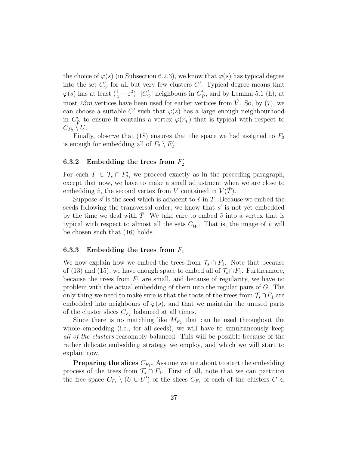the choice of  $\varphi(s)$  (in Subsection 6.2.3), we know that  $\varphi(s)$  has typical degree into the set  $C'_{\tilde{V}}$  for all but very few clusters  $C'$ . Typical degree means that  $\varphi(s)$  has at least  $(\frac{1}{4} - \varepsilon^2) \cdot |C'_{\tilde{V}}|$  neighbours in  $C'_{\tilde{V}}$ , and by Lemma 5.1 (h), at most  $2\beta m$  vertices have been used for earlier vertices from  $\tilde{V}$ . So, by (7), we can choose a suitable C' such that  $\varphi(s)$  has a large enough neighbourhood in  $C_{\tilde{V}}'$  to ensure it contains a vertex  $\varphi(r_{\overline{T}})$  that is typical with respect to  $C_{F_2} \setminus U$ .

Finally, observe that (18) ensures that the space we had assigned to  $F_2$ is enough for embedding all of  $F_2 \setminus F_2'$ .

# 6.3.2 Embedding the trees from  $F_2'$

For each  $\overline{T} \in \mathcal{T}_s \cap F'_2$ , we proceed exactly as in the preceding paragraph, except that now, we have to make a small adjustment when we are close to embedding  $\tilde{v}$ , the second vertex from  $\tilde{V}$  contained in  $V(\overline{T})$ .

Suppose  $s'$  is the seed which is adjacent to  $\tilde{v}$  in T. Because we embed the seeds following the transversal order, we know that  $s'$  is not yet embedded by the time we deal with  $\overline{T}$ . We take care to embed  $\tilde{v}$  into a vertex that is typical with respect to almost all the sets  $C_{\tilde{W}}$ . That is, the image of  $\tilde{v}$  will be chosen such that (16) holds.

### 6.3.3 Embedding the trees from  $F_1$

We now explain how we embed the trees from  $\mathcal{T}_s \cap F_1$ . Note that because of (13) and (15), we have enough space to embed all of  $\mathcal{T}_s \cap F_1$ . Furthermore, because the trees from  $F_1$  are small, and because of regularity, we have no problem with the actual embedding of them into the regular pairs of G. The only thing we need to make sure is that the roots of the trees from  $\mathcal{T}_s \cap F_1$  are embedded into neighbours of  $\varphi(s)$ , and that we maintain the unused parts of the cluster slices  $C_{F_1}$  balanced at all times.

Since there is no matching like  $M_{F_2}$  that can be used throughout the whole embedding (i.e., for all seeds), we will have to simultaneously keep all of the clusters reasonably balanced. This will be possible because of the rather delicate embedding strategy we employ, and which we will start to explain now.

**Preparing the slices**  $C_{F_1}$ . Assume we are about to start the embedding process of the trees from  $\mathcal{T}_s \cap F_1$ . First of all, note that we can partition the free space  $C_{F_1} \setminus (U \cup U')$  of the slices  $C_{F_1}$  of each of the clusters  $C \in$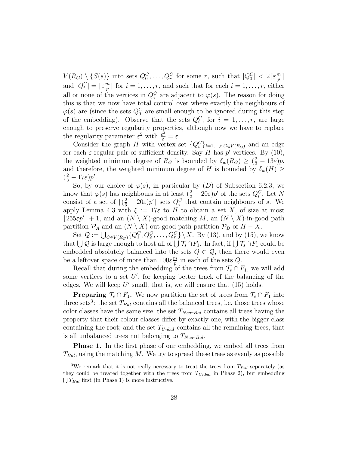$V(R_G) \setminus \{S(s)\}\$ into sets  $Q_0^C, \ldots, Q_r^C$  for some r, such that  $|Q_0^C| < 2\lceil \varepsilon \frac{m}{p}$  $\frac{m}{p}$  ] and  $|Q_i^C| = \lceil \varepsilon \frac{m}{p} \rceil$  $\frac{n}{p}$  for  $i = 1, \ldots, r$ , and such that for each  $i = 1, \ldots, r$ , either all or none of the vertices in  $Q_i^C$  are adjacent to  $\varphi(s)$ . The reason for doing this is that we now have total control over where exactly the neighbours of  $\varphi(s)$  are (since the sets  $Q_0^C$  are small enough to be ignored during this step of the embedding). Observe that the sets  $Q_i^C$ , for  $i = 1, \ldots, r$ , are large enough to preserve regularity properties, although now we have to replace the regularity parameter  $\varepsilon^2$  with  $\frac{\varepsilon^2}{\varepsilon} = \varepsilon$ .

Consider the graph H with vertex set  $\{Q_i^C\}_{i=1,\dots,r,C\in V(R_G)}$  and an edge for each  $\varepsilon$ -regular pair of sufficient density. Say H has p' vertices. By (10), the weighted minimum degree of  $R_G$  is bounded by  $\delta_w(R_G) \geq (\frac{2}{3} - 13\varepsilon)p$ , and therefore, the weighted minimum degree of H is bounded by  $\delta_w(H) \geq$  $(\frac{2}{3} - 17\varepsilon)p'.$ 

So, by our choice of  $\varphi(s)$ , in particular by  $(D)$  of Subsection 6.2.3, we know that  $\varphi(s)$  has neighbours in at least  $(\frac{2}{3} - 20\varepsilon)p'$  of the sets  $Q_i^C$ . Let N consist of a set of  $\lceil (\frac{2}{3} - 20\varepsilon)p' \rceil$  sets  $Q_i^C$  that contain neighbours of s. We apply Lemma 4.3 with  $\xi := 17\varepsilon$  to H to obtain a set X, of size at most  $|255\varepsilon p'| + 1$ , and an  $(N \setminus X)$ -good matching M, an  $(N \setminus X)$ -in-good path partition  $\mathcal{P}_A$  and an  $(N \setminus X)$ -out-good path partition  $\mathcal{P}_B$  of  $H - X$ .

Set  $\mathcal{Q} := \bigcup_{C \in V(R_G)} \{Q_1^C, Q_2^C, \dots, Q_r^C\} \setminus X$ . By (13), and by (15), we know that  $\bigcup \mathcal{Q}$  is large enough to host all of  $\bigcup \mathcal{T}_s \cap F_1$ . In fact, if  $\bigcup \mathcal{T}_s \cap F_1$  could be embedded absolutely balanced into the sets  $Q \in \mathcal{Q}$ , then there would even be a leftover space of more than  $100\varepsilon \frac{m}{n}$  $\frac{m}{p}$  in each of the sets Q.

Recall that during the embedding of the trees from  $\mathcal{T}_s \cap F_1$ , we will add some vertices to a set  $U'$ , for keeping better track of the balancing of the edges. We will keep  $U'$  small, that is, we will ensure that  $(15)$  holds.

**Preparing**  $\mathcal{T}_s \cap F_1$ . We now partition the set of trees from  $\mathcal{T}_s \cap F_1$  into three sets<sup>3</sup>: the set  $T_{Bal}$  contains all the balanced trees, i.e. those trees whose color classes have the same size; the set  $T_{NearBal}$  contains all trees having the property that their colour classes differ by exactly one, with the bigger class containing the root; and the set  $T_{Unbal}$  contains all the remaining trees, that is all unbalanced trees not belonging to  $T_{NearBal}$ .

**Phase 1.** In the first phase of our embedding, we embed all trees from  $T_{Bal}$ , using the matching M. We try to spread these trees as evenly as possible

<sup>&</sup>lt;sup>3</sup>We remark that it is not really necessary to treat the trees from  $T_{Bal}$  separately (as they could be treated together with the trees from  $T_{Unbal}$  in Phase 2), but embedding  $\bigcup T_{Bal}$  first (in Phase 1) is more instructive.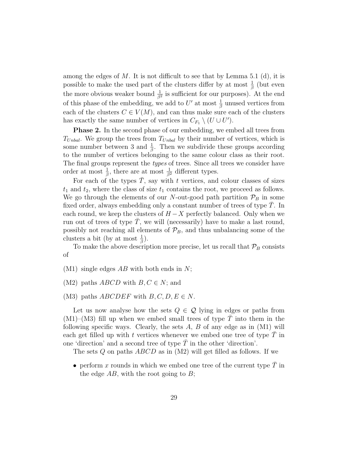among the edges of  $M$ . It is not difficult to see that by Lemma 5.1 (d), it is possible to make the used part of the clusters differ by at most  $\frac{1}{\beta}$  (but even the more obvious weaker bound  $\frac{1}{\beta^2}$  is sufficient for our purposes). At the end of this phase of the embedding, we add to  $U'$  at most  $\frac{1}{\beta}$  unused vertices from each of the clusters  $C \in V(M)$ , and can thus make sure each of the clusters has exactly the same number of vertices in  $C_{F_1} \setminus (U \cup U')$ .

**Phase 2.** In the second phase of our embedding, we embed all trees from  $T_{Unbal}$ . We group the trees from  $T_{Unbal}$  by their number of vertices, which is some number between 3 and  $\frac{1}{\beta}$ . Then we subdivide these groups according to the number of vertices belonging to the same colour class as their root. The final groups represent the *types* of trees. Since all trees we consider have order at most  $\frac{1}{\beta}$ , there are at most  $\frac{1}{\beta^2}$  different types.

For each of the types  $T$ , say with  $t$  vertices, and colour classes of sizes  $t_1$  and  $t_2$ , where the class of size  $t_1$  contains the root, we proceed as follows. We go through the elements of our N-out-good path partition  $\mathcal{P}_B$  in some fixed order, always embedding only a constant number of trees of type  $\overline{T}$ . In each round, we keep the clusters of  $H - X$  perfectly balanced. Only when we run out of trees of type  $\overline{T}$ , we will (necessarily) have to make a last round, possibly not reaching all elements of  $\mathcal{P}_B$ , and thus unbalancing some of the clusters a bit (by at most  $\frac{1}{\beta}$ ).

To make the above description more precise, let us recall that  $P_B$  consists of

- $(M1)$  single edges AB with both ends in N;
- (M2) paths  $ABCD$  with  $B, C \in N$ ; and
- (M3) paths  $ABCDEF$  with  $B, C, D, E \in N$ .

Let us now analyse how the sets  $Q \in \mathcal{Q}$  lying in edges or paths from  $(M1)$ – $(M3)$  fill up when we embed small trees of type T into them in the following specific ways. Clearly, the sets  $A, B$  of any edge as in  $(M1)$  will each get filled up with t vertices whenever we embed one tree of type  $\overline{T}$  in one 'direction' and a second tree of type  $T$  in the other 'direction'.

The sets  $Q$  on paths  $ABCD$  as in  $(M2)$  will get filled as follows. If we

• perform x rounds in which we embed one tree of the current type  $\overline{T}$  in the edge  $AB$ , with the root going to  $B$ ;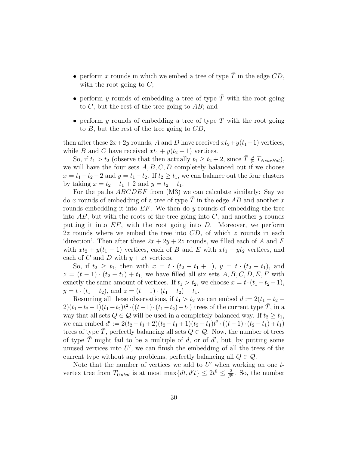- perform x rounds in which we embed a tree of type  $T$  in the edge  $CD$ , with the root going to  $C$ ;
- perform y rounds of embedding a tree of type  $\overline{T}$  with the root going to  $C$ , but the rest of the tree going to  $AB$ ; and
- perform y rounds of embedding a tree of type  $\overline{T}$  with the root going to  $B$ , but the rest of the tree going to  $CD$ ,

then after these  $2x+2y$  rounds, A and D have received  $xt_2+y(t_1-1)$  vertices, while B and C have received  $xt_1 + y(t_2 + 1)$  vertices.

So, if  $t_1 > t_2$  (observe that then actually  $t_1 \geq t_2 + 2$ , since  $T \notin T_{NearBal}$ ), we will have the four sets  $A, B, C, D$  completely balanced out if we choose  $x = t_1 - t_2 - 2$  and  $y = t_1 - t_2$ . If  $t_2 \ge t_1$ , we can balance out the four clusters by taking  $x = t_2 - t_1 + 2$  and  $y = t_2 - t_1$ .

For the paths *ABCDEF* from (M3) we can calculate similarly: Say we do x rounds of embedding of a tree of type  $\overline{T}$  in the edge AB and another x rounds embedding it into  $EF$ . We then do y rounds of embedding the tree into  $AB$ , but with the roots of the tree going into C, and another y rounds putting it into  $EF$ , with the root going into  $D$ . Moreover, we perform  $2z$  rounds where we embed the tree into  $CD$ , of which z rounds in each 'direction'. Then after these  $2x + 2y + 2z$  rounds, we filled each of A and F with  $xt_2 + y(t_1 - 1)$  vertices, each of B and E with  $xt_1 + yt_2$  vertices, and each of C and D with  $y + zt$  vertices.

So, if  $t_2 \geq t_1$ , then with  $x = t \cdot (t_2 - t_1 + 1)$ ,  $y = t \cdot (t_2 - t_1)$ , and  $z = (t-1) \cdot (t_2 - t_1) + t_1$ , we have filled all six sets  $A, B, C, D, E, F$  with exactly the same amount of vertices. If  $t_1 > t_2$ , we choose  $x = t \cdot (t_1 - t_2 - 1)$ ,  $y = t \cdot (t_1 - t_2)$ , and  $z = (t - 1) \cdot (t_1 - t_2) - t_1$ .

Resuming all these observations, if  $t_1 > t_2$  we can embed  $d := 2(t_1 - t_2 - t_1)$  $2)(t_1-t_2-1)(t_1-t_2)t^2 \cdot ((t-1)\cdot (t_1-t_2)-t_1)$  trees of the current type  $\bar{T}$ , in a way that all sets  $Q \in \mathcal{Q}$  will be used in a completely balanced way. If  $t_2 \geq t_1$ , we can embed  $d' := 2(t_2 - t_1 + 2)(t_2 - t_1 + 1)(t_2 - t_1)t^2 \cdot ((t - 1) \cdot (t_2 - t_1) + t_1)$ trees of type  $\overline{T}$ , perfectly balancing all sets  $Q \in \mathcal{Q}$ . Now, the number of trees of type  $\overline{T}$  might fail to be a multiple of d, or of d', but, by putting some unused vertices into  $U'$ , we can finish the embedding of all the trees of the current type without any problems, perfectly balancing all  $Q \in \mathcal{Q}$ .

Note that the number of vertices we add to  $U'$  when working on one  $t$ vertex tree from  $T_{Unbal}$  is at most max $\{dt, d't\} \leq 2t^8 \leq \frac{2}{\beta^8}$  $\frac{2}{\beta^8}$ . So, the number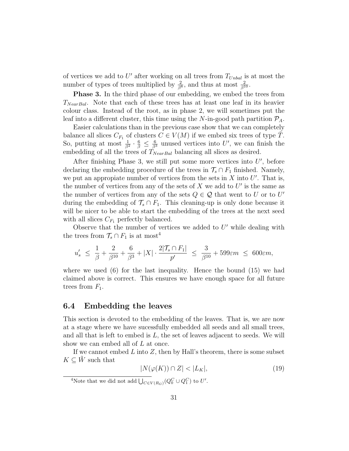of vertices we add to  $U'$  after working on all trees from  $T_{Unbal}$  is at most the number of types of trees multiplied by  $\frac{2}{\beta^8}$ , and thus at most  $\frac{2}{\beta^{10}}$ .

**Phase 3.** In the third phase of our embedding, we embed the trees from  $T_{NearBal}$ . Note that each of these trees has at least one leaf in its heavier colour class. Instead of the root, as in phase 2, we will sometimes put the leaf into a different cluster, this time using the N-in-good path partition  $\mathcal{P}_A$ .

Easier calculations than in the previous case show that we can completely balance all slices  $C_{F_1}$  of clusters  $C \in V(M)$  if we embed six trees of type  $\overline{T}$ . So, putting at most  $\frac{1}{\beta^2} \cdot \frac{6}{\beta} \leq \frac{6}{\beta^3}$  unused vertices into U', we can finish the embedding of all the trees of  $T_{NearBal}$  balancing all slices as desired.

After finishing Phase 3, we still put some more vertices into  $U'$ , before declaring the embedding procedure of the trees in  $\mathcal{T}_s \cap F_1$  finished. Namely, we put an appropiate number of vertices from the sets in  $X$  into  $U'$ . That is, the number of vertices from any of the sets of  $X$  we add to  $U'$  is the same as the number of vertices from any of the sets  $Q \in \mathcal{Q}$  that went to U or to U' during the embedding of  $\mathcal{T}_s \cap F_1$ . This cleaning-up is only done because it will be nicer to be able to start the embedding of the trees at the next seed with all slices  $C_{F_1}$  perfectly balanced.

Observe that the number of vertices we added to  $U'$  while dealing with the trees from  $\mathcal{T}_s \cap F_1$  is at most<sup>4</sup>

$$
u'_{s} \ \leq \ \frac{1}{\beta} + \frac{2}{\beta^{10}} + \frac{6}{\beta^{3}} + |X| \cdot \frac{2|\mathcal{T}_{s} \cap F_{1}|}{p'} \ \leq \ \frac{3}{\beta^{10}} + 599\epsilon m \ \leq \ 600\epsilon m,
$$

where we used  $(6)$  for the last inequality. Hence the bound  $(15)$  we had claimed above is correct. This ensures we have enough space for all future trees from  $F_1$ .

### 6.4 Embedding the leaves

This section is devoted to the embedding of the leaves. That is, we are now at a stage where we have sucessfully embedded all seeds and all small trees, and all that is left to embed is  $L$ , the set of leaves adjacent to seeds. We will show we can embed all of  $L$  at once.

If we cannot embed  $L$  into  $Z$ , then by Hall's theorem, there is some subset  $K \subseteq W$  such that

$$
|N(\varphi(K)) \cap Z| < |L_K|,\tag{19}
$$

<sup>4</sup>Note that we did not add  $\bigcup_{C \in V(R_G)} (Q_0^C \cup Q_1^C)$  to U'.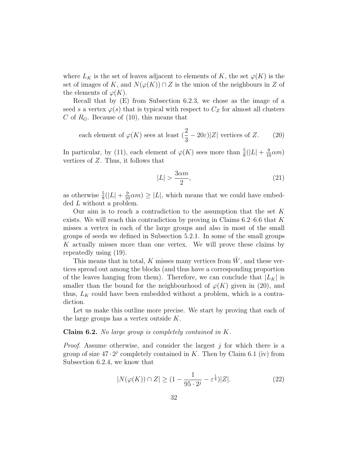where  $L_K$  is the set of leaves adjacent to elements of K, the set  $\varphi(K)$  is the set of images of K, and  $N(\varphi(K)) \cap Z$  is the union of the neighbours in Z of the elements of  $\varphi(K)$ .

Recall that by (E) from Subsection 6.2.3, we chose as the image of a seed s a vertex  $\varphi(s)$  that is typical with respect to  $C_Z$  for almost all clusters C of  $R_G$ . Because of (10), this means that

each element of 
$$
\varphi(K)
$$
 sees at least  $(\frac{2}{3} - 20\varepsilon)|Z|$  vertices of Z. (20)

In particular, by (11), each element of  $\varphi(K)$  sees more than  $\frac{5}{8}(|L| + \frac{9}{10}\alpha m)$ vertices of Z. Thus, it follows that

$$
|L| > \frac{3\alpha m}{2},\tag{21}
$$

as otherwise  $\frac{5}{8}(|L| + \frac{9}{10}\alpha m) \ge |L|$ , which means that we could have embedded L without a problem.

Our aim is to reach a contradiction to the assumption that the set  $K$ exists. We will reach this contradiction by proving in Claims  $6.2-6.6$  that K misses a vertex in each of the large groups and also in most of the small groups of seeds we defined in Subsection 5.2.1. In some of the small groups K actually misses more than one vertex. We will prove these claims by repeatedly using (19).

This means that in total, K misses many vertices from  $\hat{W}$ , and these vertices spread out among the blocks (and thus have a corresponding proportion of the leaves hanging from them). Therefore, we can conclude that  $|L_K|$  is smaller than the bound for the neighbourhood of  $\varphi(K)$  given in (20), and thus,  $L_K$  could have been embedded without a problem, which is a contradiction.

Let us make this outline more precise. We start by proving that each of the large groups has a vertex outside K.

**Claim 6.2.** No large group is completely contained in  $K$ .

*Proof.* Assume otherwise, and consider the largest  $j$  for which there is a group of size  $47 \cdot 2^j$  completely contained in K. Then by Claim 6.1 (iv) from Subsection 6.2.4, we know that

$$
|N(\varphi(K)) \cap Z| \ge (1 - \frac{1}{95 \cdot 2^j} - \varepsilon^{\frac{1}{4}})|Z|.
$$
 (22)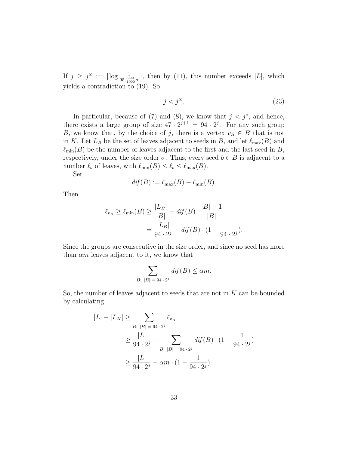If  $j \geq j^* := \lceil \log \frac{1}{95 \cdot \frac{999}{1000} \alpha} \rceil$ , then by (11), this number exceeds |L|, which yields a contradiction to (19). So

$$
j < j^{\circledast}.\tag{23}
$$

In particular, because of (7) and (8), we know that  $j < j^*$ , and hence, there exists a large group of size  $47 \cdot 2^{j+1} = 94 \cdot 2^j$ . For any such group B, we know that, by the choice of j, there is a vertex  $v_B \in B$  that is not in K. Let  $L_B$  be the set of leaves adjacent to seeds in B, and let  $\ell_{\max}(B)$  and  $\ell_{\min}(B)$  be the number of leaves adjacent to the first and the last seed in B, respectively, under the size order  $\sigma$ . Thus, every seed  $b \in B$  is adjacent to a number  $\ell_b$  of leaves, with  $\ell_{\min}(B) \leq \ell_b \leq \ell_{\max}(B)$ .

Set

$$
dif(B) := \ell_{\max}(B) - \ell_{\min}(B).
$$

Then

$$
\ell_{v_B} \ge \ell_{\min}(B) \ge \frac{|L_B|}{|B|} - \text{dif}(B) \cdot \frac{|B| - 1}{|B|}
$$

$$
= \frac{|L_B|}{94 \cdot 2^j} - \text{dif}(B) \cdot (1 - \frac{1}{94 \cdot 2^j}).
$$

Since the groups are consecutive in the size order, and since no seed has more than  $\alpha m$  leaves adjacent to it, we know that

$$
\sum_{B: |B| = 94 \cdot 2^{j}} \text{dif}(B) \le \alpha m.
$$

So, the number of leaves adjacent to seeds that are not in  $K$  can be bounded by calculating

$$
|L| - |L_K| \ge \sum_{B: |B| = 94 \cdot 2^j} \ell_{v_B}
$$
  
\n
$$
\ge \frac{|L|}{94 \cdot 2^j} - \sum_{B: |B| = 94 \cdot 2^j} \text{dif}(B) \cdot (1 - \frac{1}{94 \cdot 2^j})
$$
  
\n
$$
\ge \frac{|L|}{94 \cdot 2^j} - \alpha m \cdot (1 - \frac{1}{94 \cdot 2^j}).
$$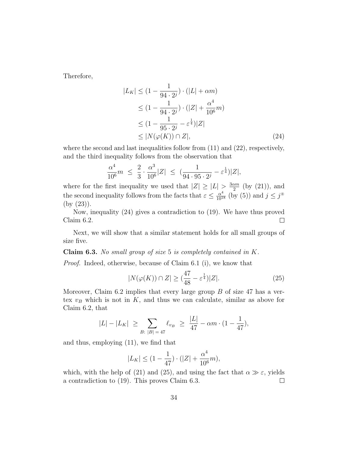Therefore,

$$
|L_K| \le (1 - \frac{1}{94 \cdot 2^j}) \cdot (|L| + \alpha m)
$$
  
\n
$$
\le (1 - \frac{1}{94 \cdot 2^j}) \cdot (|Z| + \frac{\alpha^4}{10^6} m)
$$
  
\n
$$
\le (1 - \frac{1}{95 \cdot 2^j} - \varepsilon^{\frac{1}{4}})|Z|
$$
  
\n
$$
\le |N(\varphi(K)) \cap Z|,
$$
 (24)

where the second and last inequalities follow from  $(11)$  and  $(22)$ , respectively, and the third inequality follows from the observation that

$$
\frac{\alpha^4}{10^6}m \ \leq \ \frac{2}{3} \cdot \frac{\alpha^3}{10^6}|Z| \ \leq \ \big(\frac{1}{94 \cdot 95 \cdot 2^j} - \varepsilon^{\frac{1}{4}}\big)|Z|,
$$

where for the first inequality we used that  $|Z| \geq |L| > \frac{3\alpha m}{2}$  $\frac{\alpha m}{2}$  (by (21)), and the second inequality follows from the facts that  $\varepsilon \leq \frac{\alpha^4}{10^{18}}$  (by (5)) and  $j \leq j^*$ (by (23)).

Now, inequality (24) gives a contradiction to (19). We have thus proved Claim 6.2.  $\Box$ 

Next, we will show that a similar statement holds for all small groups of size five.

**Claim 6.3.** No small group of size 5 is completely contained in  $K$ .

Proof. Indeed, otherwise, because of Claim 6.1 (i), we know that

$$
|N(\varphi(K)) \cap Z| \ge \left(\frac{47}{48} - \varepsilon^{\frac{1}{4}}\right)|Z|.
$$
 (25)

Moreover, Claim 6.2 implies that every large group  $B$  of size 47 has a vertex  $v_B$  which is not in K, and thus we can calculate, similar as above for Claim 6.2, that

$$
|L| - |L_K| \ge \sum_{B: \ |B| = 47} \ell_{v_B} \ge \frac{|L|}{47} - \alpha m \cdot (1 - \frac{1}{47}),
$$

and thus, employing (11), we find that

$$
|L_K| \le (1 - \frac{1}{47}) \cdot (|Z| + \frac{\alpha^4}{10^6} m),
$$

which, with the help of (21) and (25), and using the fact that  $\alpha \gg \varepsilon$ , yields a contradiction to (19). This proves Claim 6.3.  $\Box$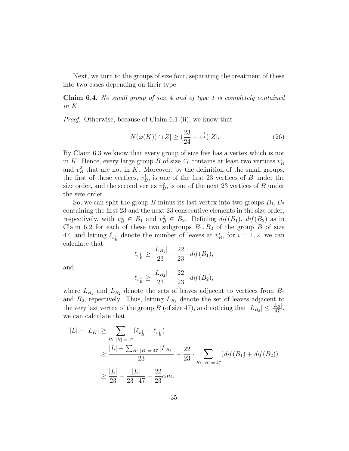Next, we turn to the groups of size four, separating the treatment of these into two cases depending on their type.

Claim 6.4. No small group of size 4 and of type 1 is completely contained in K.

Proof. Otherwise, because of Claim 6.1 (ii), we know that

$$
|N(\varphi(K)) \cap Z| \ge \left(\frac{23}{24} - \varepsilon^{\frac{1}{4}}\right)|Z|.
$$
 (26)

By Claim 6.3 we know that every group of size five has a vertex which is not in K. Hence, every large group B of size 47 contains at least two vertices  $v_B^1$ and  $v_B^2$  that are not in K. Moreover, by the definition of the small groups, the first of these vertices,  $v_B^1$ , is one of the first 23 vertices of B under the size order, and the second vertex  $v_B^2$ , is one of the next 23 vertices of B under the size order.

So, we can split the group B minus its last vertex into two groups  $B_1, B_2$ containing the first 23 and the next 23 consecutive elements in the size order, respectively, with  $v_B^1 \in B_1$  and  $v_B^2 \in B_2$ . Defining  $df(B_1)$ ,  $df(B_2)$  as in Claim 6.2 for each of these two subgroups  $B_1, B_2$  of the group B of size 47, and letting  $\ell_{v_B}$  denote the number of leaves at  $v_B^i$ , for  $i = 1, 2$ , we can calculate that

$$
\ell_{v_B^1} \ge \frac{|L_{B_1}|}{23} - \frac{22}{23} \cdot \text{dif}(B_1),
$$

and

$$
\ell_{v_B^2} \ge \frac{|L_{B_2}|}{23} - \frac{22}{23} \cdot \text{dif}(B_2),
$$

where  $L_{B_1}$  and  $L_{B_2}$  denote the sets of leaves adjacent to vertices from  $B_1$ and  $B_2$ , repectively. Thus, letting  $L_{B_3}$  denote the set of leaves adjacent to the very last vertex of the group B (of size 47), and noticing that  $|L_{B_3}| \leq \frac{|L_B|}{47}$ , we can calculate that

$$
|L| - |L_K| \ge \sum_{B: |B| = 47} (\ell_{v_B^1} + \ell_{v_B^2})
$$
  
\n
$$
\ge \frac{|L| - \sum_{B: |B| = 47} |L_{B_3}|}{23} - \frac{22}{23} \cdot \sum_{B: |B| = 47} (df(B_1) + df(B_2))
$$
  
\n
$$
\ge \frac{|L|}{23} - \frac{|L|}{23 \cdot 47} - \frac{22}{23} \alpha m.
$$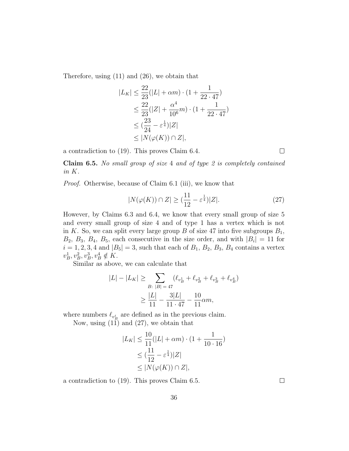Therefore, using (11) and (26), we obtain that

$$
|L_K| \le \frac{22}{23}(|L| + \alpha m) \cdot (1 + \frac{1}{22 \cdot 47})
$$
  
\n
$$
\le \frac{22}{23}(|Z| + \frac{\alpha^4}{10^6}m) \cdot (1 + \frac{1}{22 \cdot 47})
$$
  
\n
$$
\le (\frac{23}{24} - \varepsilon^{\frac{1}{4}})|Z|
$$
  
\n
$$
\le |N(\varphi(K)) \cap Z|,
$$

a contradiction to (19). This proves Claim 6.4.

Claim 6.5. No small group of size 4 and of type 2 is completely contained in K.

Proof. Otherwise, because of Claim 6.1 (iii), we know that

$$
|N(\varphi(K)) \cap Z| \ge \left(\frac{11}{12} - \varepsilon^{\frac{1}{4}}\right)|Z|.
$$
 (27)

However, by Claims 6.3 and 6.4, we know that every small group of size 5 and every small group of size 4 and of type 1 has a vertex which is not in K. So, we can split every large group B of size 47 into five subgroups  $B_1$ ,  $B_2, B_3, B_4, B_5$ , each consecutive in the size order, and with  $|B_i| = 11$  for  $i = 1, 2, 3, 4$  and  $|B_5| = 3$ , such that each of  $B_1$ ,  $B_2$ ,  $B_3$ ,  $B_4$  contains a vertex  $v_B^1, v_B^2, v_B^3, v_B^4 \notin K.$ 

Similar as above, we can calculate that

$$
|L| - |L_K| \ge \sum_{B: |B| = 47} (\ell_{v_B^1} + \ell_{v_B^2} + \ell_{v_B^3} + \ell_{v_B^4})
$$
  

$$
\ge \frac{|L|}{11} - \frac{3|L|}{11 \cdot 47} - \frac{10}{11} \alpha m,
$$

where numbers  $\ell_{v_B^i}$  are defined as in the previous claim.

Now, using  $(11)$  and  $(27)$ , we obtain that

$$
|L_K| \le \frac{10}{11}(|L| + \alpha m) \cdot (1 + \frac{1}{10 \cdot 16})
$$
  
\n
$$
\le (\frac{11}{12} - \varepsilon^{\frac{1}{4}})|Z|
$$
  
\n
$$
\le |N(\varphi(K)) \cap Z|,
$$

a contradiction to (19). This proves Claim 6.5.

 $\Box$ 

 $\Box$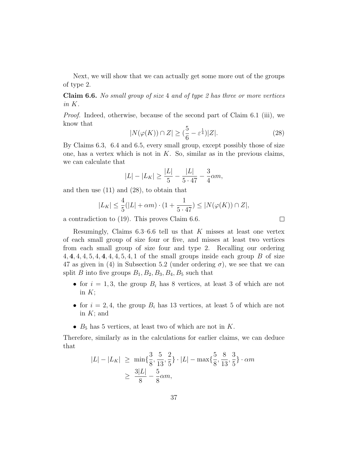Next, we will show that we can actually get some more out of the groups of type 2.

**Claim 6.6.** No small group of size 4 and of type 2 has three or more vertices in K.

Proof. Indeed, otherwise, because of the second part of Claim 6.1 (iii), we know that

$$
|N(\varphi(K)) \cap Z| \ge \left(\frac{5}{6} - \varepsilon^{\frac{1}{4}}\right)|Z|.
$$
 (28)

By Claims 6.3, 6.4 and 6.5, every small group, except possibly those of size one, has a vertex which is not in  $K$ . So, similar as in the previous claims, we can calculate that

$$
|L| - |L_K| \ge \frac{|L|}{5} - \frac{|L|}{5 \cdot 47} - \frac{3}{4} \alpha m,
$$

and then use (11) and (28), to obtain that

$$
|L_K| \le \frac{4}{5}(|L| + \alpha m) \cdot (1 + \frac{1}{5 \cdot 47}) \le |N(\varphi(K)) \cap Z|,
$$

a contradiction to (19). This proves Claim 6.6.

Resumingly, Claims  $6.3-6.6$  tell us that K misses at least one vertex of each small group of size four or five, and misses at least two vertices from each small group of size four and type 2. Recalling our ordering 4, 4, 4, 5, 4, 4, 4, 5, 4, 1 of the small groups inside each group B of size 47 as given in (4) in Subsection 5.2 (under ordering  $\sigma$ ), we see that we can split B into five groups  $B_1, B_2, B_3, B_4, B_5$  such that

- for  $i = 1, 3$ , the group  $B_i$  has 8 vertices, at least 3 of which are not in  $K$ :
- for  $i = 2, 4$ , the group  $B_i$  has 13 vertices, at least 5 of which are not in  $K$ ; and
- $B_5$  has 5 vertices, at least two of which are not in K.

Therefore, similarly as in the calculations for earlier claims, we can deduce that

$$
|L| - |L_K| \ge \min\{\frac{3}{8}, \frac{5}{13}, \frac{2}{5}\} \cdot |L| - \max\{\frac{5}{8}, \frac{8}{13}, \frac{3}{5}\} \cdot \alpha m
$$
  
 
$$
\ge \frac{3|L|}{8} - \frac{5}{8}\alpha m,
$$

 $\Box$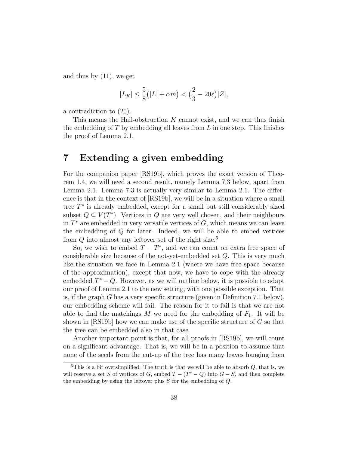and thus by (11), we get

$$
|L_K| \le \frac{5}{8} (|L| + \alpha m) < \left(\frac{2}{3} - 20\varepsilon\right)|Z|,
$$

a contradiction to (20).

This means the Hall-obstruction  $K$  cannot exist, and we can thus finish the embedding of  $T$  by embedding all leaves from  $L$  in one step. This finishes the proof of Lemma 2.1.

# 7 Extending a given embedding

For the companion paper [RS19b], which proves the exact version of Theorem 1.4, we will need a second result, namely Lemma 7.3 below, apart from Lemma 2.1. Lemma 7.3 is actually very similar to Lemma 2.1. The difference is that in the context of [RS19b], we will be in a situation where a small tree  $T^*$  is already embedded, except for a small but still considerably sized subset  $Q \subseteq V(T^*)$ . Vertices in Q are very well chosen, and their neighbours in  $T^*$  are embedded in very versatile vertices of  $G$ , which means we can leave the embedding of  $Q$  for later. Indeed, we will be able to embed vertices from  $Q$  into almost any leftover set of the right size.<sup>5</sup>

So, we wish to embed  $T - T^*$ , and we can count on extra free space of considerable size because of the not-yet-embedded set Q. This is very much like the situation we face in Lemma 2.1 (where we have free space because of the approximation), except that now, we have to cope with the already embedded  $T^* - Q$ . However, as we will outline below, it is possible to adapt our proof of Lemma 2.1 to the new setting, with one possible exception. That is, if the graph G has a very specific structure (given in Definition 7.1 below), our embedding scheme will fail. The reason for it to fail is that we are not able to find the matchings M we need for the embedding of  $F_1$ . It will be shown in  $[RS19b]$  how we can make use of the specific structure of G so that the tree can be embedded also in that case.

Another important point is that, for all proofs in [RS19b], we will count on a significant advantage. That is, we will be in a position to assume that none of the seeds from the cut-up of the tree has many leaves hanging from

 ${}^{5}$ This is a bit oversimplified: The truth is that we will be able to absorb Q, that is, we will reserve a set S of vertices of G, embed  $T - (T^* - Q)$  into  $G - S$ , and then complete the embedding by using the leftover plus S for the embedding of Q.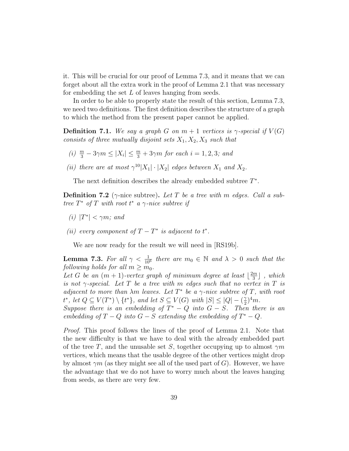it. This will be crucial for our proof of Lemma 7.3, and it means that we can forget about all the extra work in the proof of Lemma 2.1 that was necessary for embedding the set L of leaves hanging from seeds.

In order to be able to properly state the result of this section, Lemma 7.3, we need two definitions. The first definition describes the structure of a graph to which the method from the present paper cannot be applied.

**Definition 7.1.** We say a graph G on  $m + 1$  vertices is  $\gamma$ -special if  $V(G)$ consists of three mutually disjoint sets  $X_1, X_2, X_3$  such that

- (i)  $\frac{m}{3} 3\gamma m \le |X_i| \le \frac{m}{3} + 3\gamma m$  for each  $i = 1, 2, 3$ ; and
- (ii) there are at most  $\gamma^{10}|X_1|\cdot |X_2|$  edges between  $X_1$  and  $X_2$ .

The next definition describes the already embedded subtree  $T^*$ .

**Definition 7.2** ( $\gamma$ -nice subtree). Let T be a tree with m edges. Call a subtree  $T^*$  of  $T$  with root  $t^*$  a  $\gamma$ -nice subtree if

- (i)  $|T^*| < \gamma m$ ; and
- (ii) every component of  $T T^*$  is adjacent to  $t^*$ .

We are now ready for the result we will need in [RS19b].

**Lemma 7.3.** For all  $\gamma < \frac{1}{10^6}$  there are  $m_0 \in \mathbb{N}$  and  $\lambda > 0$  such that the following holds for all  $m \geq m_0$ .

Let G be an  $(m + 1)$ -vertex graph of minimum degree at least  $\frac{2m}{3}$  $\frac{m}{3}$ ], which is not  $\gamma$ -special. Let T be a tree with m edges such that no vertex in T is adjacent to more than  $\lambda m$  leaves. Let  $T^*$  be a  $\gamma$ -nice subtree of  $T$ , with root  $t^*$ , let  $Q \subseteq V(T^*) \setminus \{t^*\}$ , and let  $S \subseteq V(G)$  with  $|S| \leq |Q| - \left(\frac{\gamma}{2}\right)$  $\frac{\gamma}{2})^4 m$ .

Suppose there is an embedding of  $T^* - Q$  into  $G - S$ . Then there is an embedding of  $T-Q$  into  $G-S$  extending the embedding of  $T^* - Q$ .

Proof. This proof follows the lines of the proof of Lemma 2.1. Note that the new difficulty is that we have to deal with the already embedded part of the tree T, and the unusable set S, together occupying up to almost  $\gamma m$ vertices, which means that the usable degree of the other vertices might drop by almost  $\gamma m$  (as they might see all of the used part of G). However, we have the advantage that we do not have to worry much about the leaves hanging from seeds, as there are very few.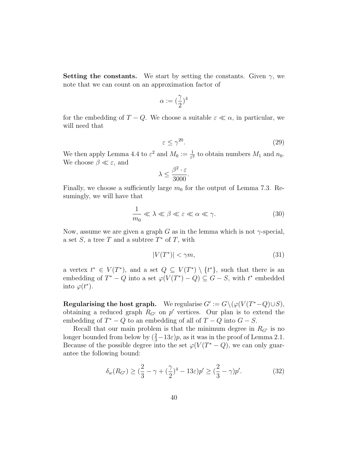**Setting the constants.** We start by setting the constants. Given  $\gamma$ , we note that we can count on an approximation factor of

$$
\alpha:=(\frac{\gamma}{2})^4
$$

for the embedding of  $T - Q$ . We choose a suitable  $\varepsilon \ll \alpha$ , in particular, we will need that

$$
\varepsilon \le \gamma^{20}.\tag{29}
$$

We then apply Lemma 4.4 to  $\varepsilon^2$  and  $M_0 := \frac{1}{\varepsilon^2}$  to obtain numbers  $M_1$  and  $n_0$ . We choose  $\beta \ll \varepsilon$ , and

$$
\lambda \le \frac{\beta^2 \cdot \varepsilon}{3000}.
$$

Finally, we choose a sufficiently large  $m_0$  for the output of Lemma 7.3. Resumingly, we will have that

$$
\frac{1}{m_0} \ll \lambda \ll \beta \ll \varepsilon \ll \alpha \ll \gamma. \tag{30}
$$

Now, assume we are given a graph G as in the lemma which is not  $\gamma$ -special, a set  $S$ , a tree  $T$  and a subtree  $T^*$  of  $T$ , with

$$
|V(T^*)| < \gamma m,\tag{31}
$$

a vertex  $t^* \in V(T^*)$ , and a set  $Q \subseteq V(T^*) \setminus \{t^*\}$ , such that there is an embedding of  $T^* - Q$  into a set  $\varphi(V(T^*) - Q) \subseteq G - S$ , with  $t^*$  embedded into  $\varphi(t^*)$ .

Regularising the host graph. We regularise  $G' := G \setminus (\varphi(V(T^* - Q) \cup S),$ obtaining a reduced graph  $R_{G'}$  on p' vertices. Our plan is to extend the embedding of  $T^* - Q$  to an embedding of all of  $T - Q$  into  $G - S$ .

Recall that our main problem is that the minimum degree in  $R_{G}$  is no longer bounded from below by  $(\frac{2}{3}-13\varepsilon)p$ , as it was in the proof of Lemma 2.1. Because of the possible degree into the set  $\varphi(V(T^* - Q))$ , we can only guarantee the following bound:

$$
\delta_w(R_{G'}) \ge \left(\frac{2}{3} - \gamma + \left(\frac{\gamma}{2}\right)^4 - 13\varepsilon\right)p' \ge \left(\frac{2}{3} - \gamma\right)p'.\tag{32}
$$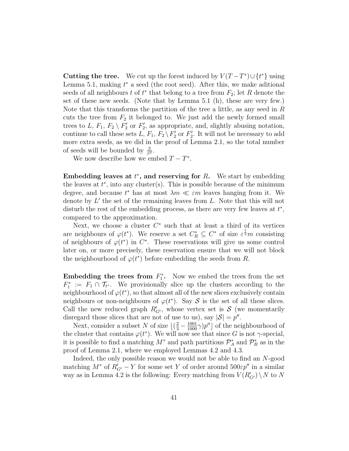Cutting the tree. We cut up the forest induced by  $V(T-T^*)\cup\{t^*\}$  using Lemma 5.1, making  $t^*$  a seed (the root seed). After this, we make aditional seeds of all neighbours  $t$  of  $t^*$  that belong to a tree from  $F_2$ ; let R denote the set of these new seeds. (Note that by Lemma 5.1 (h), these are very few.) Note that this transforms the partition of the tree a little, as any seed in R cuts the tree from  $F_2$  it belonged to. We just add the newly formed small trees to L,  $F_1$ ,  $F_2 \setminus F_2'$  or  $F_2'$ , as appropriate, and, slightly abusing notation, continue to call these sets  $L, F_1, F_2 \setminus F'_2$  or  $F'_2$ . It will not be necessary to add more extra seeds, as we did in the proof of Lemma 2.1, so the total number of seeds will be bounded by  $\frac{3}{\beta^2}$ .

We now describe how we embed  $T - T^*$ .

Embedding leaves at  $t^*$ , and reserving for  $R$ . We start by embedding the leaves at  $t^*$ , into any cluster(s). This is possible because of the minimum degree, and because  $t^*$  has at most  $\lambda m \ll \varepsilon m$  leaves hanging from it. We denote by  $L'$  the set of the remaining leaves from  $L$ . Note that this will not disturb the rest of the embedding process, as there are very few leaves at  $t^*$ , compared to the approximation.

Next, we choose a cluster  $C^*$  such that at least a third of its vertices are neighbours of  $\varphi(t^*)$ . We reserve a set  $C_R^* \subseteq C^*$  of size  $\varepsilon^{\frac{1}{3}}m$  consisting of neighbours of  $\varphi(t^*)$  in  $C^*$ . These reservations will give us some control later on, or more precisely, these reservation ensure that we will not block the neighbourhood of  $\varphi(t^*)$  before embedding the seeds from R.

Embedding the trees from  $F_1^*$ . Now we embed the trees from the set  $F_1^* := F_1 \cap \mathcal{T}_{t^*}$ . We provisionally slice up the clusters according to the neighbourhood of  $\varphi(t^*)$ , so that almost all of the new slices exclusively contain neighbours or non-neighbours of  $\varphi(t^*)$ . Say S is the set of all these slices. Call the new reduced graph  $R'_{G'}$ , whose vertex set is S (we momentarily disregard those slices that are not of use to us), say  $|S| = p''$ .

Next, consider a subset N of size  $\lfloor (\frac{2}{3} - \frac{1001}{1000}\gamma)p'' \rfloor$  of the neighbourhood of the cluster that contains  $\varphi(t^*)$ . We will now see that since G is not  $\gamma$ -special, it is possible to find a matching  $M^*$  and path partitions  $\mathcal{P}_A^*$  and  $\mathcal{P}_B^*$  as in the proof of Lemma 2.1, where we employed Lemmas 4.2 and 4.3.

Indeed, the only possible reason we would not be able to find an N-good matching  $M^*$  of  $R'_{G'} - Y$  for some set Y of order around  $500\varepsilon p''$  in a similar way as in Lemma 4.2 is the following: Every matching from  $V(R'_{G'})\setminus N$  to N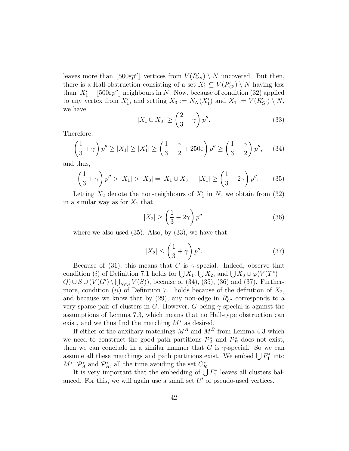leaves more than [500 $\varepsilon p''$ ] vertices from  $V(R'_{G'}) \setminus N$  uncovered. But then, there is a Hall-obstruction consisting of a set  $X'_1 \subseteq V(R'_{G'}) \setminus N$  having less than  $|X'_1|$  –  $[500\varepsilon p'']$  neighbours in N. Now, because of condition (32) applied to any vertex from  $X'_1$ , and setting  $X_3 := N_N(X'_1)$  and  $X_1 := V(R'_{G'}) \setminus N$ , we have

$$
|X_1 \cup X_3| \ge \left(\frac{2}{3} - \gamma\right)p''.
$$
\n(33)

Therefore,

$$
\left(\frac{1}{3} + \gamma\right)p'' \ge |X_1| \ge |X'_1| \ge \left(\frac{1}{3} - \frac{\gamma}{2} + 250\varepsilon\right)p'' \ge \left(\frac{1}{3} - \frac{\gamma}{2}\right)p'',\tag{34}
$$

and thus,

$$
\left(\frac{1}{3} + \gamma\right)p'' > |X_1| > |X_3| = |X_1 \cup X_3| - |X_1| \ge \left(\frac{1}{3} - 2\gamma\right)p''.\tag{35}
$$

Letting  $X_2$  denote the non-neighbours of  $X_1'$  in N, we obtain from (32) in a similar way as for  $X_1$  that

$$
|X_2| \ge \left(\frac{1}{3} - 2\gamma\right)p''.
$$
\n(36)

where we also used  $(35)$ . Also, by  $(33)$ , we have that

$$
|X_2| \le \left(\frac{1}{3} + \gamma\right)p''.
$$
\n(37)

Because of (31), this means that G is  $\gamma$ -special. Indeed, observe that condition (i) of Definition 7.1 holds for  $\bigcup X_1$ ,  $\bigcup X_2$ , and  $\bigcup X_3 \cup \varphi(V(T^*) Q) \cup S \cup (V(G') \setminus \bigcup_{S \in \mathcal{S}} V(S))$ , because of (34), (35), (36) and (37). Furthermore, condition (ii) of Definition 7.1 holds because of the definition of  $X_2$ , and because we know that by (29), any non-edge in  $R'_{G'}$  corresponds to a very sparse pair of clusters in G. However, G being  $\gamma$ -special is against the assumptions of Lemma 7.3, which means that no Hall-type obstruction can exist, and we thus find the matching  $M^*$  as desired.

If either of the auxiliary matchings  $M^A$  and  $M^B$  from Lemma 4.3 which we need to construct the good path partitions  $\mathcal{P}_A^*$  and  $\mathcal{P}_B^*$  does not exist, then we can conclude in a similar manner that G is  $\gamma$ -special. So we can assume all these matchings and path partitions exist. We embed  $\bigcup F_1^*$  into  $M^*, \, \mathcal{P}_A^*$  and  $\mathcal{P}_B^*$ , all the time avoiding the set  $C_R^*$ .

It is very important that the embedding of  $\bigcup F_1^*$  leaves all clusters balanced. For this, we will again use a small set  $U'$  of pseudo-used vertices.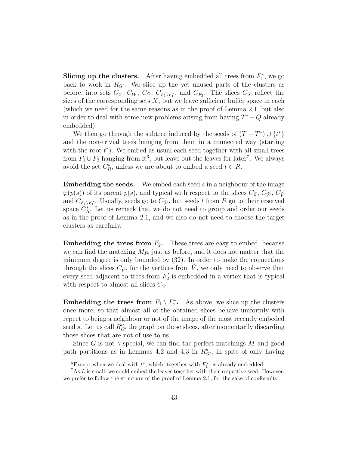Slicing up the clusters. After having embedded all trees from  $F_1^*$ , we go back to work in  $R_{G'}$ . We slice up the yet unused parts of the clusters as before, into sets  $C_Z$ ,  $C_W$ ,  $C_{\tilde{V}}$ ,  $C_{F_1\setminus F_1^*}$ , and  $C_{F_2}$ . The slices  $C_X$  reflect the sizes of the corresponding sets  $X$ , but we leave sufficient buffer space in each (which we need for the same reasons as in the proof of Lemma 2.1, but also in order to deal with some new problems arising from having  $T^* - Q$  already embedded).

We then go through the subtree induced by the seeds of  $(T - T^*) \cup \{t^*\}$ and the non-trivial trees hanging from them in a connected way (starting with the root  $t^*$ ). We embed as usual each seed together with all small trees from  $F_1 \cup F_2$  hanging from it<sup>6</sup>, but leave out the leaves for later<sup>7</sup>. We always avoid the set  $C_R^*$ , unless we are about to embed a seed  $t \in R$ .

**Embedding the seeds.** We embed each seed s in a neighbour of the image  $\varphi(p(s))$  of its parent  $p(s)$ , and typical with respect to the slices  $C_Z$ ,  $C_{\tilde{W}}$ ,  $C_{\tilde{V}}$ and  $C_{F_1\setminus F_1^*}$ . Usually, seeds go to  $C_{\tilde{W}}$ , but seeds t from R go to their reserved space  $C_R^*$ . Let us remark that we do not need to group and order our seeds as in the proof of Lemma 2.1, and we also do not need to choose the target clusters as carefully.

**Embedding the trees from**  $F_2$ **.** These trees are easy to embed, because we can find the matching  $M_{F_2}$  just as before, and it does not matter that the minimum degree is only bounded by (32). In order to make the connections through the slices  $C_{\tilde{V}}$ , for the vertices from V, we only need to observe that every seed adjacent to trees from  $F_2'$  is embedded in a vertex that is typical with respect to almost all slices  $C_{\tilde{V}}$ .

Embedding the trees from  $F_1 \setminus F_1^*$ . As above, we slice up the clusters once more, so that almost all of the obtained slices behave uniformly with repect to being a neighbour or not of the image of the most recently embeded seed s. Let us call  $R''_{G'}$  the graph on these slices, after momentarily discarding those slices that are not of use to us.

Since G is not  $\gamma$ -special, we can find the perfect matchings M and good path partitions as in Lemmas 4.2 and 4.3 in  $R''_{G'}$ , in spite of only having

<sup>&</sup>lt;sup>6</sup>Except when we deal with  $t^*$ , which, together with  $F_1^*$ , is already embedded.

 $7As L$  is small, we could embed the leaves together with their respective seed. However, we prefer to follow the structure of the proof of Lemma 2.1, for the sake of conformity.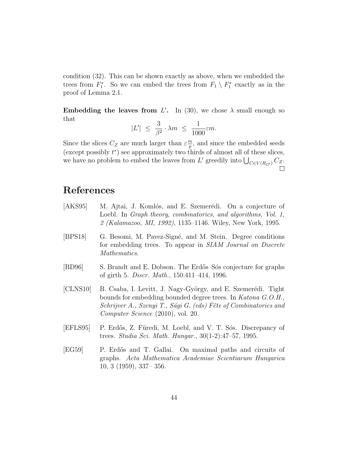condition (32). This can be shown exactly as above, when we embedded the trees from  $F_1^*$ . So we can embed the trees from  $F_1 \setminus F_1^*$  exactly as in the proof of Lemma 2.1.

Embedding the leaves from L'. In (30), we chose  $\lambda$  small enough so that

$$
|L'| \leq \frac{3}{\beta^2} \cdot \lambda m \leq \frac{1}{1000} \varepsilon m.
$$

Since the slices  $C_Z$  are much larger than  $\varepsilon \frac{m}{n}$  $\frac{m}{p}$ , and since the embedded seeds (except possibly  $t^*$ ) see approximately two thirds of almost all of these slices, we have no problem to embed the leaves from  $L'$  greedily into  $\bigcup_{C \in V(R_{G'})} C_{Z}$ .

# References

- [AKS95] M. Ajtai, J. Komlós, and E. Szemerédi. On a conjecture of Loebl. In *Graph theory, combinatorics, and algorithms, Vol. 1,* 2 (Kalamazoo, MI, 1992), 1135–1146. Wiley, New York, 1995.
- [BPS18] G. Besomi, M. Pavez-Signé, and M. Stein. Degree conditions for embedding trees. To appear in SIAM Journal on Discrete Mathematics.
- [BD96] S. Brandt and E. Dobson. The Erdős–Sós conjecture for graphs of girth 5. Discr. Math., 150:411–414, 1996.
- [CLNS10] B. Csaba, I. Levitt, J. Nagy-György, and E. Szemerédi. Tight bounds for embedding bounded degree trees. In Katona G.O.H., Schrijver A., Szenyi T., Sági G. (eds) Fête of Combinatorics and Computer Science (2010), vol. 20.
- [EFLS95] P. Erdős, Z. Füredi, M. Loebl, and V. T. Sós. Discrepancy of trees. Studia Sci. Math. Hungar., 30(1-2):47–57, 1995.
- [EG59] P. Erd˝os and T. Gallai. On maximal paths and circuits of graphs. Acta Mathematica Academiae Scientiarum Hungarica 10, 3 (1959), 337– 356.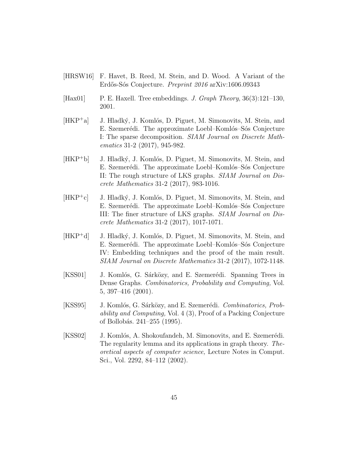- [HRSW16] F. Havet, B. Reed, M. Stein, and D. Wood. A Variant of the Erdős-Sós Conjecture. Preprint 2016 arXiv:1606.09343
- [Hax01] P. E. Haxell. Tree embeddings. J. Graph Theory, 36(3):121–130, 2001.
- $[HKP^+a]$  J. Hladký, J. Komlós, D. Piguet, M. Simonovits, M. Stein, and E. Szemerédi. The approximate Loebl–Komlós–Sós Conjecture I: The sparse decomposition. SIAM Journal on Discrete Mathematics 31-2 (2017), 945-982.
- [HKP<sup>+</sup>b] J. Hladký, J. Komlós, D. Piguet, M. Simonovits, M. Stein, and E. Szemerédi. The approximate Loebl–Komlós–Sós Conjecture II: The rough structure of LKS graphs. SIAM Journal on Discrete Mathematics 31-2 (2017), 983-1016.
- $[HKP^+c]$  J. Hladký, J. Komlós, D. Piguet, M. Simonovits, M. Stein, and E. Szemerédi. The approximate Loebl–Komlós–Sós Conjecture III: The finer structure of LKS graphs. SIAM Journal on Discrete Mathematics 31-2 (2017), 1017-1071.
- $[HKP^+d]$  J. Hladký, J. Komlós, D. Piguet, M. Simonovits, M. Stein, and E. Szemerédi. The approximate Loebl–Komlós–Sós Conjecture IV: Embedding techniques and the proof of the main result. SIAM Journal on Discrete Mathematics 31-2 (2017), 1072-1148.
- [KSS01] J. Komlós, G. Sárközy, and E. Szemerédi. Spanning Trees in Dense Graphs. Combinatorics, Probability and Computing, Vol. 5, 397–416 (2001).
- [KSS95] J. Komlós, G. Sárközy, and E. Szemerédi. *Combinatorics, Prob*ability and Computing, Vol. 4 (3), Proof of a Packing Conjecture of Bollobás. 241–255 (1995).
- [KSS02] J. Komlós, A. Shokoufandeh, M. Simonovits, and E. Szemerédi. The regularity lemma and its applications in graph theory. Theoretical aspects of computer science, Lecture Notes in Comput. Sci., Vol. 2292, 84–112 (2002).